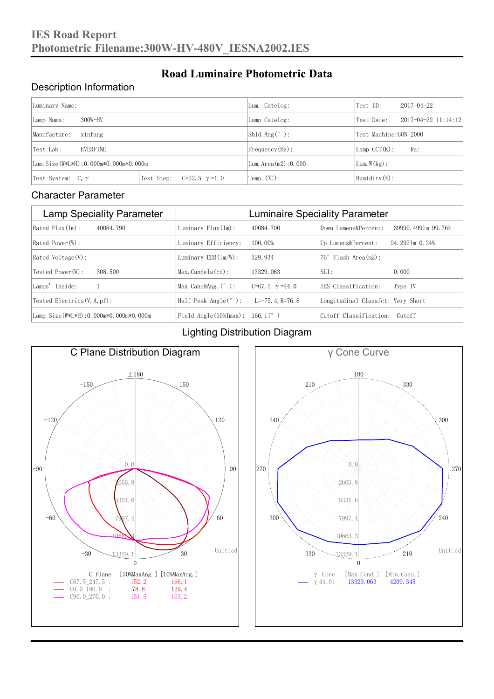### Description Information

| Luminary Name:                          |                                     | Lum. Catelog:            | Test ID:                  | $2017 - 04 - 22$ |  |
|-----------------------------------------|-------------------------------------|--------------------------|---------------------------|------------------|--|
| $300W-HV$<br>Lamp Name:                 | Lamp Catelog:                       | Test Date:               | $2017 - 04 - 22$ 11:14:12 |                  |  |
| Manufacture:<br>xinfang                 |                                     | $Shld$ Ang(°):           | Test Machine:GON-2000     |                  |  |
| <b>EVERFINE</b><br>Test Lab:            |                                     | $Frequency(Hz)$ :        | $Lamp$ CCT(K):            | Ra:              |  |
| Lum. Size (W*L*H): 0.000m*0.000m*0.000m |                                     | Lum. Area $(m2)$ : 0.000 | Lum.W(kg):                |                  |  |
| Test System: $C, \gamma$                | Test Step:<br>$C=22.5$ $\gamma=1.0$ | Temp. $(\mathbb{C})$ :   | Humidity $(\%)$ :         |                  |  |

**Road Luminaire Photometric Data**

#### Character Parameter

| <b>Lamp Speciality Parameter</b>       | <b>Luminaire Speciality Parameter</b>                               |                          |                                   |                    |  |
|----------------------------------------|---------------------------------------------------------------------|--------------------------|-----------------------------------|--------------------|--|
| Rated Flux(1m):<br>40084, 790          | Luminary $Flux(ln)$ :                                               | 40084, 790               | Down Lumens&Percent:              | 39990.4991m 99.76% |  |
| Rated Power (W):                       | Luminary Efficiency:                                                | 100.00%                  | Up Lumens&Percent:                | 94.2921m 0.24%     |  |
| $Rated$ Voltage $(V)$ :                | Luminary $EER(\ln/W)$ :                                             | 129, 934                 | Flash Area(m2):<br>76°            |                    |  |
| Tested Power (W):<br>308, 500          | $Max. Candela(cd)$ :                                                | 13329.063                | $SLI$ :                           | 0.000              |  |
| Lamps' Inside:                         | Max Cand@Ang. $(°)$ :                                               | $C=67.5$ $\gamma = 44.0$ | IES Classification:               | Type IV            |  |
| Tested Electrics $(V, A, pf)$ :        | Half Peak Angle $(°)$ :                                             | L=-75. 4. R=76. 8        | Longitudinal Classfct: Very Short |                    |  |
| Lamp Size(W*L*H): 0.000m*0.000m*0.000m | Field Angle $(10\text{\%} \text{Im} \text{ax})$ : 166.1 $(^\circ$ ) |                          | Cutoff Classification: Cutoff     |                    |  |

#### Lighting Distribution Diagram



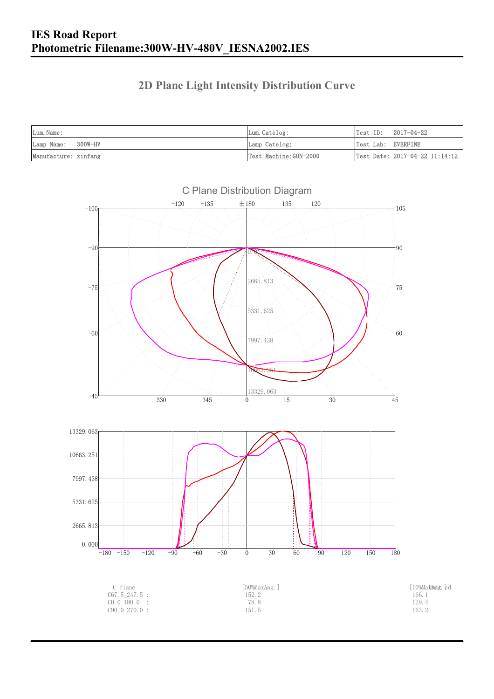### **2D Plane Light Intensity Distribution Curve**

| Lum. Name:           | Lum. Catelog:         |                    | $Test ID: 2017-04-22$          |
|----------------------|-----------------------|--------------------|--------------------------------|
| Lamp Name: 300W-HV   | Lamp Catelog:         | Test Lab: EVERFINE |                                |
| Manufacture: xinfang | Test Machine:GON-2000 |                    | Test Date: 2017-04-22 11:14:12 |

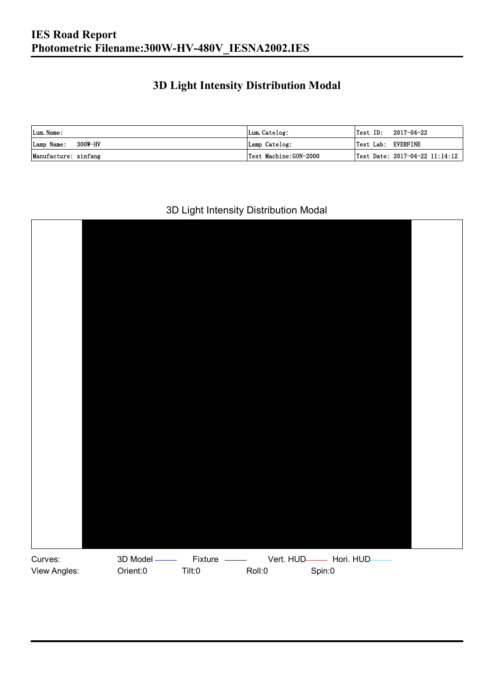### **3D Light Intensity Distribution Modal**

| Lum. Name:           | Lum.Catelog:          |                    | $\textsf{Test ID:} \quad 2017-04-22$ |
|----------------------|-----------------------|--------------------|--------------------------------------|
| Lamp Name: 300W-HV   | Lamp Catelog:         | Test Lab: EVERFINE |                                      |
| Manufacture: xinfang | Test Machine:GON-2000 |                    | Test Date: 2017-04-22 11:14:12       |

#### 3D Light Intensity Distribution Modal

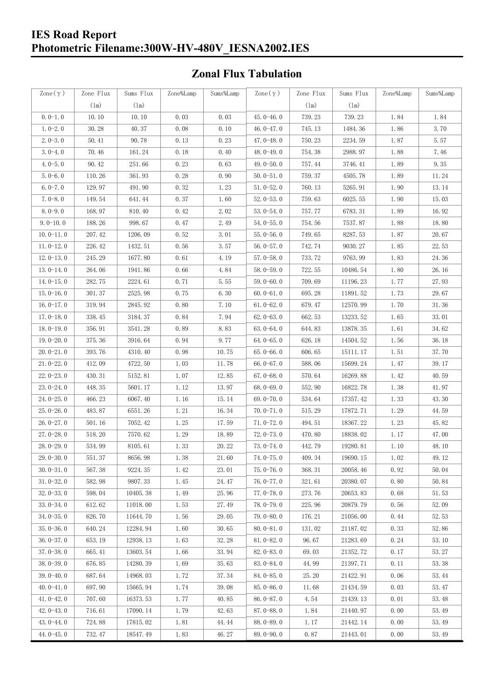#### **IES Road Report Photometric Filename:300W-HV-480V\_IESNA2002.IES**

### **Zonal Flux Tabulation**

| Zone $(\gamma)$ | Zone Flux     | Sums Flux | Zone%Lamp | Sums%Lamp | Zone $(\gamma)$ | Zone Flux     | Sums Flux | Zone%Lamp | Sums%Lamp |
|-----------------|---------------|-----------|-----------|-----------|-----------------|---------------|-----------|-----------|-----------|
|                 | $(\text{lm})$ | (1m)      |           |           |                 | $(\text{lm})$ | (1m)      |           |           |
| $0.0-1.0$       | 10.10         | 10.10     | 0.03      | 0.03      | $45.0 - 46.0$   | 739.23        | 739.23    | 1.84      | 1.84      |
| $1.0 - 2.0$     | 30.28         | 40.37     | 0.08      | 0.10      | 46.0-47.0       | 745.13        | 1484.36   | 1.86      | 3.70      |
| $2.0 - 3.0$     | 50.41         | 90.78     | 0.13      | 0.23      | 47.0-48.0       | 750.23        | 2234.59   | 1.87      | 5.57      |
| $3.0 - 4.0$     | 70.46         | 161.24    | 0.18      | 0.40      | 48.0-49.0       | 754.38        | 2988.97   | 1.88      | 7.46      |
| $4.0 - 5.0$     | 90.42         | 251.66    | 0.23      | 0.63      | 49.0 $-50.0$    | 757.44        | 3746.41   | 1.89      | 9.35      |
| $5.0 - 6.0$     | 110.26        | 361.93    | 0.28      | 0.90      | $50.0 - 51.0$   | 759.37        | 4505.78   | 1.89      | 11.24     |
| $6.0 - 7.0$     | 129.97        | 491.90    | 0.32      | 1.23      | $51.0 - 52.0$   | 760.13        | 5265.91   | 1.90      | 13.14     |
| $7.0 - 8.0$     | 149.54        | 641.44    | 0.37      | 1.60      | $52.0 - 53.0$   | 759.63        | 6025.55   | 1.90      | 15.03     |
| $8.0 - 9.0$     | 168.97        | 810.40    | 0.42      | 2.02      | $53.0 - 54.0$   | 757.77        | 6783.31   | 1.89      | 16.92     |
| $9.0 - 10.0$    | 188.26        | 998.67    | 0.47      | 2.49      | $54.0 - 55.0$   | 754.56        | 7537.87   | 1.88      | 18.80     |
| $10.0 - 11.0$   | 207.42        | 1206.09   | 0.52      | 3.01      | $55.0 - 56.0$   | 749.65        | 8287.53   | 1.87      | 20.67     |
| $11.0 - 12.0$   | 226.42        | 1432.51   | 0.56      | 3.57      | $56.0 - 57.0$   | 742.74        | 9030.27   | 1.85      | 22.53     |
| $12.0 - 13.0$   | 245.29        | 1677.80   | 0.61      | 4.19      | $57.0 - 58.0$   | 733.72        | 9763.99   | 1.83      | 24.36     |
| $13.0 - 14.0$   | 264.06        | 1941.86   | 0.66      | 4.84      | $58.0 - 59.0$   | 722.55        | 10486.54  | 1.80      | 26.16     |
| $14.0 - 15.0$   | 282.75        | 2224.61   | 0.71      | 5.55      | $59.0 - 60.0$   | 709.69        | 11196.23  | 1.77      | 27.93     |
| $15.0 - 16.0$   | 301.37        | 2525.98   | 0.75      | 6.30      | $60.0 - 61.0$   | 695.28        | 11891.52  | 1.73      | 29.67     |
| $16.0 - 17.0$   | 319.94        | 2845.92   | 0.80      | 7.10      | $61.0 - 62.0$   | 679.47        | 12570.99  | 1.70      | 31.36     |
| $17.0 - 18.0$   | 338.45        | 3184.37   | 0.84      | 7.94      | $62.0 - 63.0$   | 662.53        | 13233.52  | 1.65      | 33.01     |
| $18.0 - 19.0$   | 356.91        | 3541.28   | 0.89      | 8.83      | $63.0 - 64.0$   | 644.83        | 13878.35  | 1.61      | 34.62     |
| $19.0 - 20.0$   | 375.36        | 3916.64   | 0.94      | 9.77      | $64.0 - 65.0$   | 626.18        | 14504.52  | 1.56      | 36.18     |
| $20.0 - 21.0$   | 393.76        | 4310.40   | 0.98      | 10.75     | $65.0 - 66.0$   | 606.65        | 15111.17  | 1.51      | 37.70     |
| $21.0 - 22.0$   | 412.09        | 4722.50   | 1.03      | 11.78     | $66.0 - 67.0$   | 588.06        | 15699.24  | 1.47      | 39.17     |
| $22.0 - 23.0$   | 430.31        | 5152.81   | 1.07      | 12.85     | $67.0 - 68.0$   | 570.64        | 16269.88  | 1.42      | 40.59     |
| $23.0 - 24.0$   | 448.35        | 5601.17   | 1.12      | 13.97     | $68.0 - 69.0$   | 552.90        | 16822.78  | 1.38      | 41.97     |
| $24.0 - 25.0$   | 466.23        | 6067.40   | 1.16      | 15.14     | 69.0-70.0       | 534.64        | 17357.42  | 1.33      | 43.30     |
| $25.0 - 26.0$   | 483.87        | 6551.26   | 1.21      | 16.34     | $70.0 - 71.0$   | 515.29        | 17872.71  | 1.29      | 44.59     |
| $26.0 - 27.0$   | 501.16        | 7052.42   | 1.25      | 17.59     | $71.0 - 72.0$   | 494.51        | 18367.22  | 1.23      | 45.82     |
| $27.0 - 28.0$   | 518.20        | 7570.62   | 1.29      | 18.89     | $72.0 - 73.0$   | 470.80        | 18838.02  | 1.17      | 47.00     |
| $28.0 - 29.0$   | 534.99        | 8105.61   | 1.33      | 20.22     | $73.0 - 74.0$   | 442.79        | 19280.81  | 1.10      | 48.10     |
| 29.0-30.0       | 551.37        | 8656.98   | 1.38      | 21.60     | 74.0-75.0       | 409.34        | 19690.15  | $1.02\,$  | 49.12     |
| $30.0 - 31.0$   | 567.38        | 9224.35   | 1.42      | 23.01     | $75.0 - 76.0$   | 368.31        | 20058.46  | 0.92      | 50.04     |
| $31.0 - 32.0$   | 582.98        | 9807.33   | 1.45      | 24.47     | 76.0-77.0       | 321.61        | 20380.07  | 0.80      | 50.84     |
| $32.0 - 33.0$   | 598.04        | 10405.38  | 1.49      | 25.96     | $77.0 - 78.0$   | 273.76        | 20653.83  | 0.68      | 51.53     |
| $33.0 - 34.0$   | 612.62        | 11018.00  | 1.53      | 27.49     | 78.0-79.0       | 225.96        | 20879.79  | 0.56      | 52.09     |
| $34.0 - 35.0$   | 626.70        | 11644.70  | 1.56      | 29.05     | $79.0 - 80.0$   | 176.21        | 21056.00  | 0.44      | 52.53     |
| $35.0 - 36.0$   | 640.24        | 12284.94  | 1.60      | 30.65     | $80.0 - 81.0$   | 131.02        | 21187.02  | 0.33      | 52.86     |
| $36.0 - 37.0$   | 653.19        | 12938.13  | 1.63      | 32.28     | $81.0 - 82.0$   | 96.67         | 21283.69  | 0.24      | 53.10     |
| $37.0 - 38.0$   | 665.41        | 13603.54  | 1.66      | 33.94     | $82.0 - 83.0$   | 69.03         | 21352.72  | 0.17      | 53.27     |
| $38.0 - 39.0$   | 676.85        | 14280.39  | 1.69      | 35.63     | 83.0-84.0       | 44.99         | 21397.71  | 0.11      | 53.38     |
| $39.0 - 40.0$   | 687.64        | 14968.03  | 1.72      | 37.34     | 84.0-85.0       | 25.20         | 21422.91  | 0.06      | 53.44     |
| $40.0 - 41.0$   | 697.90        | 15665.94  | 1.74      | 39.08     | 85.0-86.0       | 11.68         | 21434.59  | 0.03      | 53.47     |
| $41.0 - 42.0$   | 707.60        | 16373.53  | 1.77      | 40.85     | $86.0 - 87.0$   | 4.54          | 21439.13  | 0.01      | 53.48     |
| $42.0 - 43.0$   | 716.61        | 17090.14  | 1.79      | 42.63     | $87.0 - 88.0$   | 1.84          | 21440.97  | 0.00      | 53.49     |
| $43.0 - 44.0$   | 724.88        | 17815.02  | 1.81      | 44.44     | 88.0-89.0       | 1.17          | 21442.14  | 0.00      | 53.49     |
| $44.0 - 45.0$   | 732.47        | 18547.49  | 1.83      | 46.27     | $89.0 - 90.0$   | 0.87          | 21443.01  | 0.00      | 53.49     |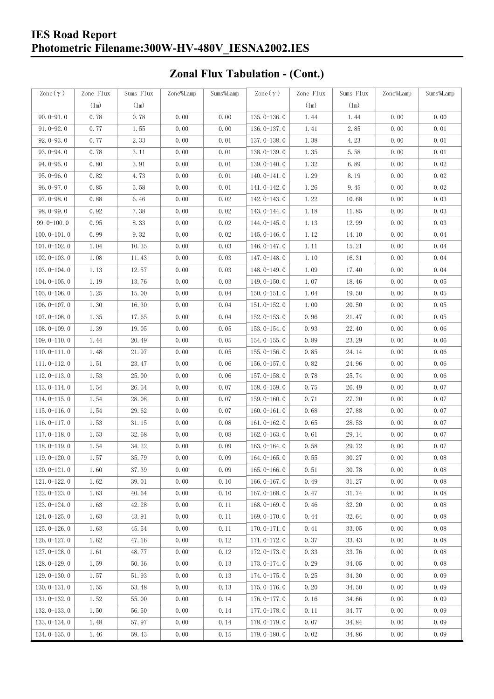### **IES Road Report Photometric Filename:300W-HV-480V\_IESNA2002.IES**

# **Zonal Flux Tabulation - (Cont.)**

| Zone $(\gamma)$ | Zone Flux | Sums Flux | Zone%Lamp | Sums%Lamp | Zone $(\gamma)$ | Zone Flux | Sums Flux | Zone%Lamp | Sums%Lamp |
|-----------------|-----------|-----------|-----------|-----------|-----------------|-----------|-----------|-----------|-----------|
|                 | (1m)      | (1m)      |           |           |                 | (1m)      | (1m)      |           |           |
| $90.0 - 91.0$   | 0.78      | 0.78      | 0.00      | 0.00      | $135.0 - 136.0$ | 1.44      | 1.44      | 0.00      | 0.00      |
| $91.0 - 92.0$   | 0.77      | 1.55      | 0.00      | 0.00      | $136.0 - 137.0$ | 1.41      | 2.85      | 0.00      | 0.01      |
| $92.0 - 93.0$   | 0.77      | 2.33      | 0.00      | 0.01      | 137.0-138.0     | 1.38      | 4.23      | 0.00      | 0.01      |
| 93.0-94.0       | 0.78      | 3.11      | 0.00      | 0.01      | 138.0-139.0     | 1.35      | 5.58      | 0.00      | 0.01      |
| $94.0 - 95.0$   | 0.80      | 3.91      | 0.00      | 0.01      | 139.0-140.0     | 1.32      | 6.89      | 0.00      | 0.02      |
| $95.0 - 96.0$   | 0.82      | 4.73      | 0.00      | 0.01      | $140.0 - 141.0$ | 1.29      | 8.19      | 0.00      | 0.02      |
| $96.0 - 97.0$   | 0.85      | 5.58      | 0.00      | 0.01      | 141.0-142.0     | 1.26      | 9.45      | 0.00      | 0.02      |
| $97.0 - 98.0$   | 0.88      | 6.46      | 0.00      | 0.02      | 142.0-143.0     | 1.22      | 10.68     | 0.00      | 0.03      |
| $98.0 - 99.0$   | 0.92      | 7.38      | 0.00      | 0.02      | $143.0 - 144.0$ | 1.18      | 11.85     | 0.00      | 0.03      |
| $99.0 - 100.0$  | 0.95      | 8.33      | 0.00      | 0.02      | 144.0-145.0     | 1.13      | 12.99     | 0.00      | 0.03      |
| $100.0 - 101.0$ | 0.99      | 9.32      | 0.00      | 0.02      | $145.0 - 146.0$ | 1.12      | 14.10     | 0.00      | 0.04      |
| $101.0 - 102.0$ | 1.04      | 10.35     | 0.00      | 0.03      | $146.0 - 147.0$ | 1.11      | 15.21     | 0.00      | 0.04      |
| $102.0 - 103.0$ | 1.08      | 11.43     | 0.00      | 0.03      | 147.0-148.0     | 1.10      | 16.31     | 0.00      | 0.04      |
| $103.0 - 104.0$ | 1.13      | 12.57     | 0.00      | 0.03      | 148.0-149.0     | 1.09      | 17.40     | 0.00      | 0.04      |
| $104.0 - 105.0$ | 1.19      | 13.76     | 0.00      | 0.03      | 149.0-150.0     | 1.07      | 18.46     | 0.00      | 0.05      |
| $105.0 - 106.0$ | 1.25      | 15.00     | 0.00      | 0.04      | $150.0 - 151.0$ | 1.04      | 19.50     | 0.00      | 0.05      |
| $106.0 - 107.0$ | 1.30      | 16.30     | 0.00      | 0.04      | $151.0 - 152.0$ | 1.00      | 20.50     | 0.00      | 0.05      |
| $107.0 - 108.0$ | 1.35      | 17.65     | 0.00      | 0.04      | $152.0 - 153.0$ | 0.96      | 21.47     | 0.00      | 0.05      |
| $108.0 - 109.0$ | 1.39      | 19.05     | 0.00      | 0.05      | $153.0 - 154.0$ | 0.93      | 22.40     | 0.00      | 0.06      |
| $109.0 - 110.0$ | 1.44      | 20.49     | 0.00      | 0.05      | $154.0 - 155.0$ | 0.89      | 23.29     | 0.00      | 0.06      |
| $110.0 - 111.0$ | 1.48      | 21.97     | 0.00      | 0.05      | $155.0 - 156.0$ | 0.85      | 24.14     | 0.00      | 0.06      |
| $111.0 - 112.0$ | 1.51      | 23.47     | 0.00      | 0.06      | $156.0 - 157.0$ | 0.82      | 24.96     | 0.00      | 0.06      |
| $112.0 - 113.0$ | 1.53      | 25.00     | 0.00      | 0.06      | 157.0-158.0     | 0.78      | 25.74     | 0.00      | 0.06      |
| $113.0 - 114.0$ | 1.54      | 26.54     | 0.00      | 0.07      | $158.0 - 159.0$ | 0.75      | 26.49     | 0.00      | 0.07      |
| $114.0 - 115.0$ | 1.54      | 28.08     | 0.00      | 0.07      | $159.0 - 160.0$ | 0.71      | 27.20     | 0.00      | 0.07      |
| $115.0 - 116.0$ | 1.54      | 29.62     | 0.00      | 0.07      | $160.0 - 161.0$ | 0.68      | 27.88     | 0.00      | 0.07      |
| $116.0 - 117.0$ | 1.53      | 31.15     | 0.00      | 0.08      | $161.0 - 162.0$ | 0.65      | 28.53     | 0.00      | 0.07      |
| $117.0 - 118.0$ | 1.53      | 32.68     | 0.00      | 0.08      | $162.0 - 163.0$ | 0.61      | 29.14     | 0.00      | 0.07      |
| $118.0 - 119.0$ | 1.54      | 34.22     | 0.00      | 0.09      | $163.0 - 164.0$ | 0.58      | 29.72     | 0.00      | 0.07      |
| 119.0-120.0     | 1.57      | 35.79     | 0.00      | 0.09      | $164.0 - 165.0$ | 0.55      | 30.27     | 0.00      | 0.08      |
| $120.0 - 121.0$ | 1.60      | 37.39     | 0.00      | 0.09      | $165.0 - 166.0$ | 0.51      | 30.78     | 0.00      | 0.08      |
| $121.0 - 122.0$ | 1.62      | 39.01     | 0.00      | 0.10      | $166.0 - 167.0$ | 0.49      | 31.27     | 0.00      | 0.08      |
| $122.0 - 123.0$ | 1.63      | 40.64     | 0.00      | 0.10      | $167.0 - 168.0$ | 0.47      | 31.74     | 0.00      | 0.08      |
| $123.0 - 124.0$ | 1.63      | 42.28     | 0.00      | 0.11      | $168.0 - 169.0$ | 0.46      | 32.20     | 0.00      | 0.08      |
| $124.0 - 125.0$ | 1.63      | 43.91     | 0.00      | 0.11      | 169.0-170.0     | 0.44      | 32.64     | 0.00      | 0.08      |
| $125.0 - 126.0$ | 1.63      | 45.54     | 0.00      | 0.11      | $170.0 - 171.0$ | 0.41      | 33.05     | 0.00      | 0.08      |
| $126.0 - 127.0$ | 1.62      | 47.16     | 0.00      | 0.12      | 171.0-172.0     | 0.37      | 33.43     | 0.00      | 0.08      |
| $127.0 - 128.0$ | 1.61      | 48.77     | 0.00      | 0.12      | 172.0-173.0     | 0.33      | 33.76     | 0.00      | 0.08      |
| $128.0 - 129.0$ | 1.59      | 50.36     | 0.00      | 0.13      | 173.0-174.0     | 0.29      | 34.05     | 0.00      | 0.08      |
| $129.0 - 130.0$ | 1.57      | 51.93     | 0.00      | 0.13      | 174.0-175.0     | 0.25      | 34.30     | 0.00      | 0.09      |
| $130.0 - 131.0$ | 1.55      | 53.48     | 0.00      | 0.13      | $175.0 - 176.0$ | 0.20      | 34.50     | 0.00      | 0.09      |
| $131.0 - 132.0$ | 1.52      | 55.00     | 0.00      | 0.14      | 176.0-177.0     | 0.16      | 34.66     | 0.00      | 0.09      |
| $132.0 - 133.0$ | 1.50      | 56.50     | 0.00      | 0.14      | 177.0-178.0     | 0.11      | 34.77     | 0.00      | 0.09      |
| 133.0-134.0     | 1.48      | 57.97     | 0.00      | 0.14      | 178.0-179.0     | 0.07      | 34.84     | 0.00      | 0.09      |
| $134.0 - 135.0$ | 1.46      | 59.43     | 0.00      | 0.15      | 179.0-180.0     | 0.02      | 34.86     | 0.00      | 0.09      |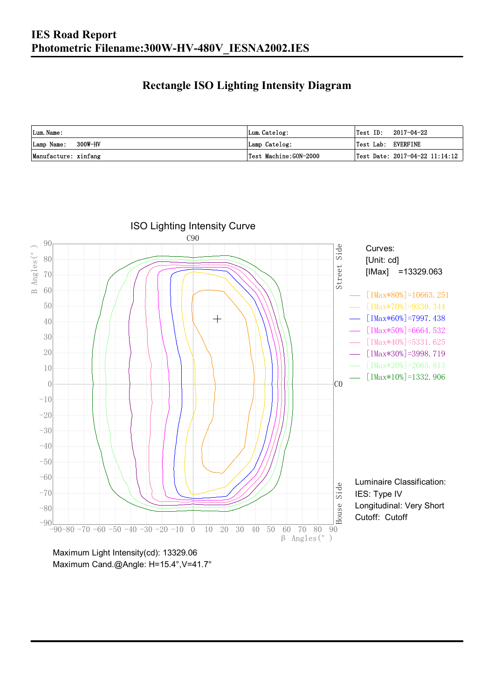### **Rectangle ISO Lighting Intensity Diagram**

| Lum. Name:           | Lum.Catelog:          | $\textsf{Test ID:} \quad 2017-04-22$ |
|----------------------|-----------------------|--------------------------------------|
| Lamp Name: 300W-HV   | Lamp Catelog:         | Test Lab: EVERFINE                   |
| Manufacture: xinfang | Test Machine:GON-2000 | Test Date: $2017-04-22$ $11:14:12$   |



Maximum Cand.@Angle: H=15.4°, V=41.7°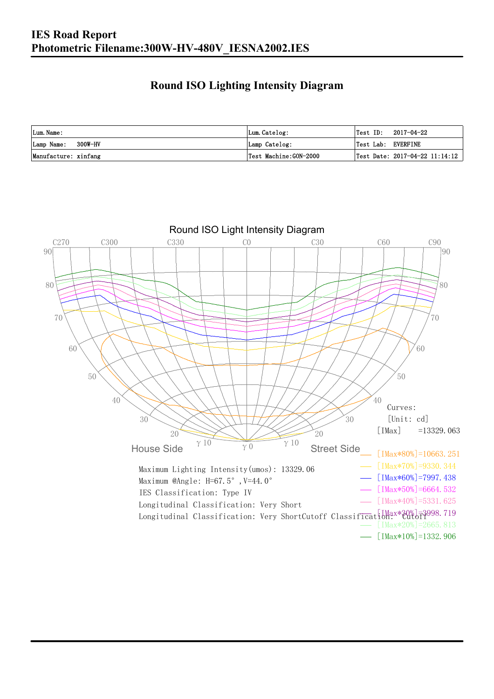### **Round ISO Lighting Intensity Diagram**

| Lum. Name:           | Lum.Catelog:          | Test ID:<br>2017-04-22                  |
|----------------------|-----------------------|-----------------------------------------|
| Lamp Name: 300W-HV   | Lamp Catelog:         | Test Lab: EVERFINE                      |
| Manufacture: xinfang | Test Machine:GON-2000 | $\sqrt{$ Test Date: 2017-04-22 11:14:12 |

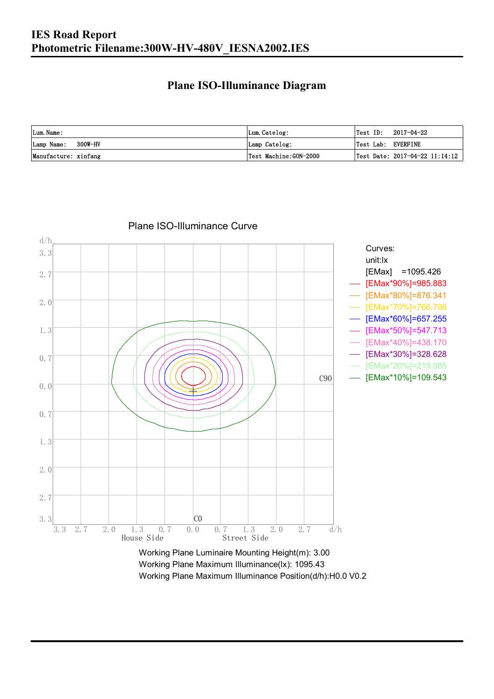#### **Plane ISO-Illuminance Diagram**

| Lum. Name:           | Lum.Catelog:          | $\textsf{Test ID:} \quad 2017-04-22$           |
|----------------------|-----------------------|------------------------------------------------|
| Lamp Name: 300W-HV   | Lamp Catelog:         | Test Lab: EVERFINE                             |
| Manufacture: xinfang | Test Machine:GON-2000 | $\vert$ Test Date: 2017-04-22 11:14:12 $\vert$ |



Plane ISO-Illuminance Curve

Working Plane Maximum Illuminance(lx): 1095.43 Working Plane Maximum Illuminance Position(d/h):H0.0 V0.2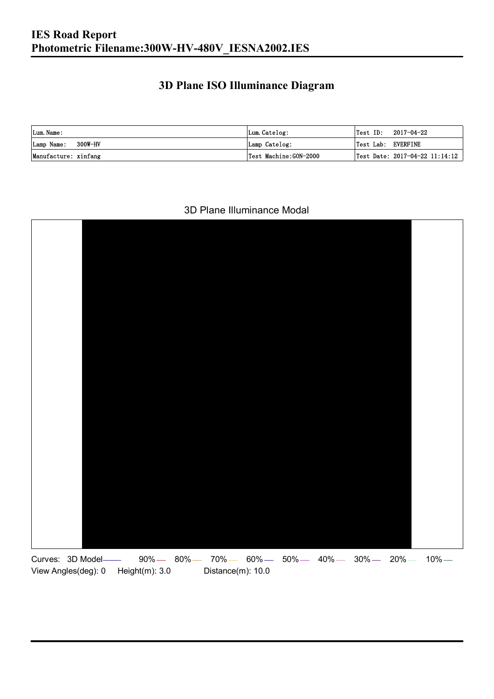### **3D Plane ISO Illuminance Diagram**

| Lum. Name:           | Lum.Catelog:          |                    | $\textsf{Test ID:} \quad 2017-04-22$ |
|----------------------|-----------------------|--------------------|--------------------------------------|
| Lamp Name: 300W-HV   | Lamp Catelog:         | Test Lab: EVERFINE |                                      |
| Manufacture: xinfang | Test Machine:GON-2000 |                    | Test Date: 2017-04-22 11:14:12       |

#### 3D Plane Illuminance Modal

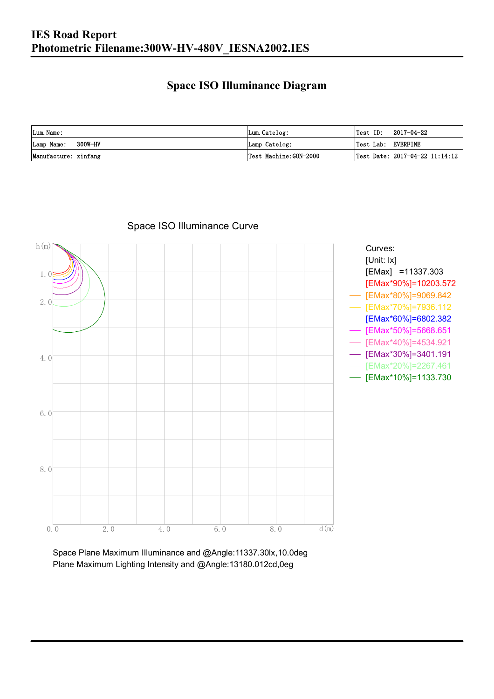### **Space ISO Illuminance Diagram**

| Lum. Name:           | Lum.Catelog:          | $\textsf{Test ID:} \quad 2017-04-22$           |
|----------------------|-----------------------|------------------------------------------------|
| Lamp Name: 300W-HV   | Lamp Catelog:         | Test Lab: EVERFINE                             |
| Manufacture: xinfang | Test Machine:GON-2000 | $\vert$ Test Date: 2017-04-22 11:14:12 $\vert$ |



### Space ISO Illuminance Curve

Space Plane Maximum Illuminance and @Angle:11337.30lx,10.0deg Plane Maximum Lighting Intensity and @Angle:13180.012cd,0eg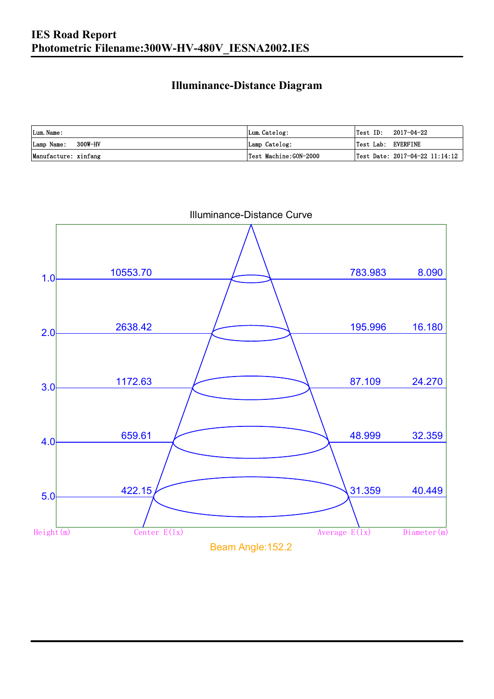### **Illuminance-Distance Diagram**

| Lum. Name:           | Lum.Catelog:          | Test ID:           | 2017-04-22                     |
|----------------------|-----------------------|--------------------|--------------------------------|
| Lamp Name: 300W-HV   | Lamp Catelog:         | Test Lab: EVERFINE |                                |
| Manufacture: xinfang | Test Machine:GON-2000 |                    | Test Date: 2017-04-22 11:14:12 |



Illuminance-Distance Curve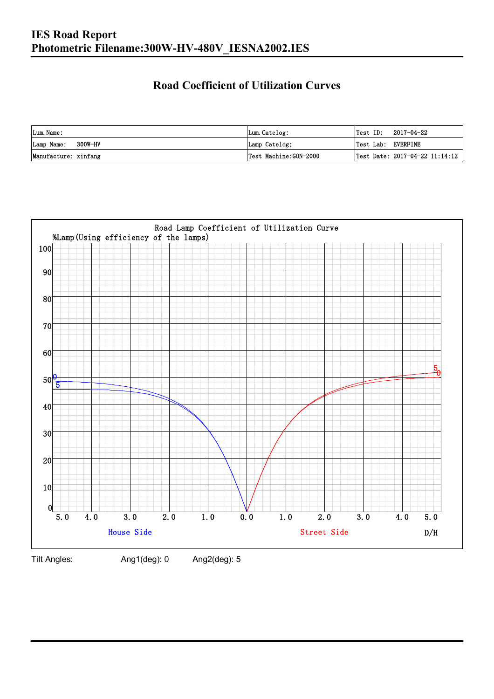### **Road Coefficient of Utilization Curves**

| Lum. Name:           | Lum.Catelog:          |                    | $\textsf{Test ID:} \quad 2017-04-22$ |
|----------------------|-----------------------|--------------------|--------------------------------------|
| Lamp Name: 300W-HV   | Lamp Catelog:         | Test Lab: EVERFINE |                                      |
| Manufacture: xinfang | Test Machine:GON-2000 |                    | Test Date: 2017-04-22 11:14:12       |



Tilt Angles: Ang1(deg): 0 Ang2(deg): 5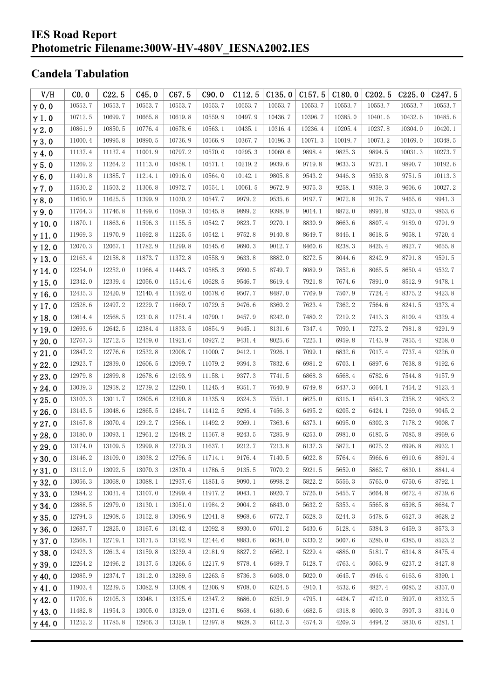#### **IES Road Report Photometric Filename:300W-HV-480V\_IESNA2002.IES**

### **Candela Tabulation**

| V/H           | CO.0    | C22.5   | C45.0   | C67.5   | C90.0   | C112.5  | C135.0  | C157.5  | C180.0  | C <sub>2</sub> 02.5 | C225.0  | C <sub>247.5</sub> |
|---------------|---------|---------|---------|---------|---------|---------|---------|---------|---------|---------------------|---------|--------------------|
| $\gamma$ 0.0  | 10553.7 | 10553.7 | 10553.7 | 10553.7 | 10553.7 | 10553.7 | 10553.7 | 10553.7 | 10553.7 | 10553.7             | 10553.7 | 10553.7            |
| $\gamma$ 1.0  | 10712.5 | 10699.7 | 10665.8 | 10619.8 | 10559.9 | 10497.9 | 10436.7 | 10396.7 | 10385.0 | 10401.6             | 10432.6 | 10485.6            |
| $\gamma$ 2.0  | 10861.9 | 10850.5 | 10776.4 | 10678.6 | 10563.1 | 10435.1 | 10316.4 | 10236.4 | 10205.4 | 10237.8             | 10304.0 | 10420.1            |
| $\gamma$ 3.0  | 11000.4 | 10995.8 | 10890.5 | 10736.9 | 10566.9 | 10367.7 | 10196.3 | 10071.3 | 10019.7 | 10073.2             | 10169.0 | 10348.5            |
| $\gamma$ 4.0  | 11137.4 | 11137.4 | 11001.9 | 10797.2 | 10570.0 | 10295.3 | 10069.6 | 9898.4  | 9825.3  | 9894.5              | 10031.3 | 10273.7            |
| $\gamma$ 5.0  | 11269.2 | 11264.2 | 11113.0 | 10858.1 | 10571.1 | 10219.2 | 9939.6  | 9719.8  | 9633.3  | 9721.1              | 9890.7  | 10192.6            |
| $\gamma$ 6.0  | 11401.8 | 11385.7 | 11214.1 | 10916.0 | 10564.0 | 10142.1 | 9805.8  | 9543.2  | 9446.3  | 9539.8              | 9751.5  | 10113.3            |
| $\gamma$ 7.0  | 11530.2 | 11503.2 | 11306.8 | 10972.7 | 10554.1 | 10061.5 | 9672.9  | 9375.3  | 9258.1  | 9359.3              | 9606.6  | 10027.2            |
| $\gamma$ 8.0  | 11650.9 | 11625.5 | 11399.9 | 11030.2 | 10547.7 | 9979.2  | 9535.6  | 9197.7  | 9072.8  | 9176.7              | 9465.6  | 9941.3             |
| $\gamma$ 9.0  | 11764.3 | 11746.8 | 11499.6 | 11089.3 | 10545.8 | 9899.2  | 9398.9  | 9014.1  | 8872.0  | 8991.8              | 9323.0  | 9863.6             |
| $\gamma$ 10.0 | 11870.1 | 11863.6 | 11596.3 | 11155.5 | 10542.7 | 9823.7  | 9270.1  | 8830.9  | 8663.6  | 8807.4              | 9189.0  | 9791.9             |
| $\gamma$ 11.0 | 11969.3 | 11970.9 | 11692.8 | 11225.5 | 10542.1 | 9752.8  | 9140.8  | 8649.7  | 8446.1  | 8618.5              | 9058.1  | 9720.4             |
| $\gamma$ 12.0 | 12070.3 | 12067.1 | 11782.9 | 11299.8 | 10545.6 | 9690.3  | 9012.7  | 8460.6  | 8238.3  | 8426.4              | 8927.7  | 9655.8             |
| $\gamma$ 13.0 | 12163.4 | 12158.8 | 11873.7 | 11372.8 | 10558.9 | 9633.8  | 8882.0  | 8272.5  | 8044.6  | 8242.9              | 8791.8  | 9591.5             |
| $\gamma$ 14.0 | 12254.0 | 12252.0 | 11966.4 | 11443.7 | 10585.3 | 9590.5  | 8749.7  | 8089.9  | 7852.6  | 8065.5              | 8650.4  | 9532.7             |
| $\gamma$ 15.0 | 12342.0 | 12339.4 | 12056.0 | 11514.6 | 10628.5 | 9546.7  | 8619.4  | 7921.8  | 7674.6  | 7891.0              | 8512.9  | 9478.1             |
| $\gamma$ 16.0 | 12435.3 | 12420.9 | 12140.4 | 11592.0 | 10678.6 | 9507.7  | 8487.0  | 7769.9  | 7507.9  | 7724.4              | 8375.2  | 9423.8             |
| $\gamma$ 17.0 | 12528.6 | 12497.2 | 12229.7 | 11669.7 | 10729.5 | 9476.6  | 8360.2  | 7623.4  | 7362.2  | 7564.6              | 8241.5  | 9373.4             |
| $\gamma$ 18.0 | 12614.4 | 12568.5 | 12310.8 | 11751.4 | 10790.1 | 9457.9  | 8242.0  | 7480.2  | 7219.2  | 7413.3              | 8109.4  | 9329.4             |
| $\gamma$ 19.0 | 12693.6 | 12642.5 | 12384.4 | 11833.5 | 10854.9 | 9445.1  | 8131.6  | 7347.4  | 7090.1  | 7273.2              | 7981.8  | 9291.9             |
| $\gamma$ 20.0 | 12767.3 | 12712.5 | 12459.0 | 11921.6 | 10927.2 | 9431.4  | 8025.6  | 7225.1  | 6959.8  | 7143.9              | 7855.4  | 9258.0             |
| $\gamma$ 21.0 | 12847.2 | 12776.6 | 12532.8 | 12008.7 | 11000.7 | 9412.1  | 7926.1  | 7099.1  | 6832.6  | 7017.4              | 7737.4  | 9226.0             |
| $\gamma$ 22.0 | 12923.7 | 12839.0 | 12606.5 | 12099.7 | 11079.2 | 9394.3  | 7832.6  | 6981.2  | 6703.1  | 6897.6              | 7638.8  | 9192.6             |
| $\gamma$ 23.0 | 12979.8 | 12899.8 | 12678.6 | 12193.9 | 11158.1 | 9377.3  | 7741.5  | 6868.3  | 6568.4  | 6782.6              | 7544.8  | 9157.9             |
| $\gamma$ 24.0 | 13039.3 | 12958.2 | 12739.2 | 12290.1 | 11245.4 | 9351.7  | 7640.9  | 6749.8  | 6437.3  | 6664.1              | 7454.2  | 9123.4             |
| $\gamma$ 25.0 | 13103.3 | 13011.7 | 12805.6 | 12390.8 | 11335.9 | 9324.3  | 7551.1  | 6625.0  | 6316.1  | 6541.3              | 7358.2  | 9083.2             |
| $\gamma$ 26.0 | 13143.5 | 13048.6 | 12865.5 | 12484.7 | 11412.5 | 9295.4  | 7456.3  | 6495.2  | 6205.2  | 6424.1              | 7269.0  | 9045.2             |
| $\gamma$ 27.0 | 13167.8 | 13070.4 | 12912.7 | 12566.1 | 11492.2 | 9269.1  | 7363.6  | 6373.1  | 6095.0  | 6302.3              | 7178.2  | 9008.7             |
| $\gamma$ 28.0 | 13180.0 | 13093.1 | 12961.2 | 12648.2 | 11567.8 | 9243.5  | 7285.9  | 6253.0  | 5981.0  | 6185.5              | 7085.8  | 8969.6             |
| $\gamma$ 29.0 | 13174.0 | 13109.5 | 12999.8 | 12720.3 | 11637.1 | 9212.7  | 7213.8  | 6137.3  | 5872.1  | 6075.2              | 6996.8  | 8932.1             |
| $\gamma$ 30.0 | 13146.2 | 13109.0 | 13038.2 | 12796.5 | 11714.1 | 9176.4  | 7140.5  | 6022.8  | 5764.4  | 5966.6              | 6910.6  | 8891.4             |
| $\gamma$ 31.0 | 13112.0 | 13092.5 | 13070.3 | 12870.4 | 11786.5 | 9135.5  | 7070.2  | 5921.5  | 5659.0  | 5862.7              | 6830.1  | 8841.4             |
| $\gamma$ 32.0 | 13056.3 | 13068.0 | 13088.1 | 12937.6 | 11851.5 | 9090.1  | 6998.2  | 5822.2  | 5556.3  | 5763.0              | 6750.6  | 8792.1             |
| $\gamma$ 33.0 | 12984.2 | 13031.4 | 13107.0 | 12999.4 | 11917.2 | 9043.1  | 6920.7  | 5726.0  | 5455.7  | 5664.8              | 6672.4  | 8739.6             |
| $\gamma$ 34.0 | 12888.5 | 12979.0 | 13130.1 | 13051.0 | 11984.2 | 9004.2  | 6843.0  | 5632.2  | 5353.4  | 5565.8              | 6598.5  | 8684.7             |
| $\gamma$ 35.0 | 12794.3 | 12908.5 | 13152.8 | 13096.9 | 12041.8 | 8968.6  | 6772.7  | 5528.3  | 5244.3  | 5478.5              | 6527.3  | 8628.2             |
| $\gamma$ 36.0 | 12687.7 | 12825.0 | 13167.6 | 13142.4 | 12092.8 | 8930.0  | 6701.2  | 5430.6  | 5128.4  | 5384.3              | 6459.3  | 8573.3             |
| $\gamma$ 37.0 | 12568.1 | 12719.1 | 13171.5 | 13192.9 | 12144.6 | 8883.6  | 6634.0  | 5330.2  | 5007.6  | 5286.0              | 6385.0  | 8523.2             |
| $\gamma$ 38.0 | 12423.3 | 12613.4 | 13159.8 | 13239.4 | 12181.9 | 8827.2  | 6562.1  | 5229.4  | 4886.0  | 5181.7              | 6314.8  | 8475.4             |
| $\gamma$ 39.0 | 12264.2 | 12496.2 | 13137.5 | 13266.5 | 12217.9 | 8778.4  | 6489.7  | 5128.7  | 4763.4  | 5063.9              | 6237.2  | 8427.8             |
| $\gamma$ 40.0 | 12085.9 | 12374.7 | 13112.0 | 13289.5 | 12263.5 | 8736.3  | 6408.0  | 5020.0  | 4645.7  | 4946.4              | 6163.6  | 8390.1             |
| $\gamma$ 41.0 | 11903.4 | 12239.5 | 13082.9 | 13308.4 | 12306.9 | 8708.0  | 6324.5  | 4910.1  | 4532.6  | 4827.4              | 6085.2  | 8357.0             |
| $\gamma$ 42.0 | 11702.6 | 12105.3 | 13048.1 | 13325.6 | 12347.2 | 8686.0  | 6251.9  | 4795.1  | 4424.7  | 4712.0              | 5997.0  | 8332.5             |
| $\gamma$ 43.0 | 11482.8 | 11954.3 | 13005.0 | 13329.0 | 12371.6 | 8658.4  | 6180.6  | 4682.5  | 4318.8  | 4600.3              | 5907.3  | 8314.0             |
| $\gamma$ 44.0 | 11252.2 | 11785.8 | 12956.3 | 13329.1 | 12397.8 | 8628.3  | 6112.3  | 4574.3  | 4209.3  | 4494.2              | 5830.6  | 8281.1             |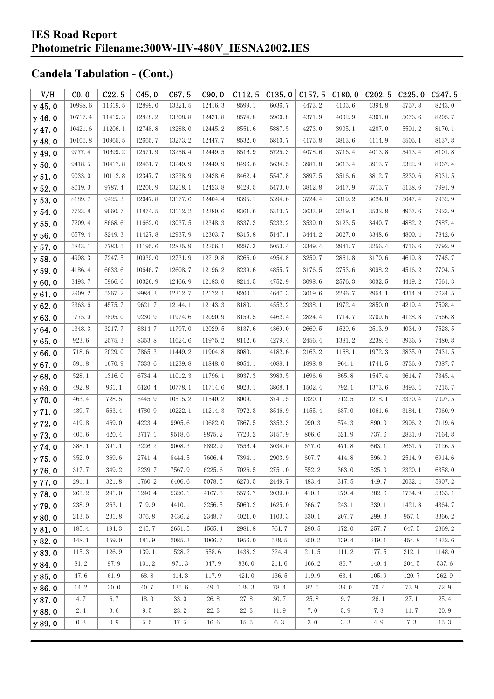| V/H           | CO.0    | C22.5   | C45.0   | C67.5   | C90.0   | C112.5 | C135.0 | C157.5 | C180.0 | C <sub>2</sub> 02.5 | C225.0 | C247.5 |
|---------------|---------|---------|---------|---------|---------|--------|--------|--------|--------|---------------------|--------|--------|
| $\gamma$ 45.0 | 10998.6 | 11619.5 | 12899.0 | 13321.5 | 12416.3 | 8599.1 | 6036.7 | 4473.2 | 4105.6 | 4394.8              | 5757.8 | 8243.0 |
| $\gamma$ 46.0 | 10717.4 | 11419.3 | 12828.2 | 13308.8 | 12431.8 | 8574.8 | 5960.8 | 4371.9 | 4002.9 | 4301.0              | 5676.6 | 8205.7 |
| $\gamma$ 47.0 | 10421.6 | 11206.1 | 12748.8 | 13288.0 | 12445.2 | 8551.6 | 5887.5 | 4273.0 | 3905.1 | 4207.0              | 5591.2 | 8170.1 |
| $\gamma$ 48.0 | 10105.8 | 10965.5 | 12665.7 | 13273.2 | 12447.7 | 8532.0 | 5810.7 | 4175.8 | 3813.6 | 4114.9              | 5505.1 | 8137.8 |
| $\gamma$ 49.0 | 9777.4  | 10699.2 | 12571.9 | 13256.4 | 12449.5 | 8516.9 | 5725.3 | 4078.6 | 3716.4 | 4013.8              | 5413.4 | 8101.8 |
| $\gamma$ 50.0 | 9418.5  | 10417.8 | 12461.7 | 13249.9 | 12449.9 | 8496.6 | 5634.5 | 3981.8 | 3615.4 | 3913.7              | 5322.9 | 8067.4 |
| $\gamma$ 51.0 | 9033.0  | 10112.8 | 12347.7 | 13238.9 | 12438.6 | 8462.4 | 5547.8 | 3897.5 | 3516.6 | 3812.7              | 5230.6 | 8031.5 |
| $\gamma$ 52.0 | 8619.3  | 9787.4  | 12200.9 | 13218.1 | 12423.8 | 8429.5 | 5473.0 | 3812.8 | 3417.9 | 3715.7              | 5138.6 | 7991.9 |
| $\gamma$ 53.0 | 8189.7  | 9425.3  | 12047.8 | 13177.6 | 12404.4 | 8395.1 | 5394.6 | 3724.4 | 3319.2 | 3624.8              | 5047.4 | 7952.9 |
| $\gamma$ 54.0 | 7723.8  | 9060.7  | 11874.5 | 13112.2 | 12380.6 | 8361.6 | 5313.7 | 3633.9 | 3219.1 | 3532.8              | 4957.6 | 7923.9 |
| $\gamma$ 55.0 | 7209.4  | 8668.6  | 11662.0 | 13037.5 | 12348.3 | 8337.3 | 5232.2 | 3539.0 | 3123.5 | 3440.7              | 4882.2 | 7887.4 |
| $\gamma$ 56.0 | 6579.4  | 8249.3  | 11427.8 | 12937.9 | 12303.7 | 8315.8 | 5147.1 | 3444.2 | 3027.0 | 3348.6              | 4800.4 | 7842.6 |
| $\gamma$ 57.0 | 5843.1  | 7783.5  | 11195.6 | 12835.9 | 12256.1 | 8287.3 | 5053.4 | 3349.4 | 2941.7 | 3256.4              | 4716.6 | 7792.9 |
| $\gamma$ 58.0 | 4998.3  | 7247.5  | 10939.0 | 12731.9 | 12219.8 | 8266.0 | 4954.8 | 3259.7 | 2861.8 | 3170.6              | 4619.8 | 7745.7 |
| $\gamma$ 59.0 | 4186.4  | 6633.6  | 10646.7 | 12608.7 | 12196.2 | 8239.6 | 4855.7 | 3176.5 | 2753.6 | 3098.2              | 4516.2 | 7704.5 |
| $\gamma$ 60.0 | 3493.7  | 5966.6  | 10326.9 | 12466.9 | 12183.0 | 8214.5 | 4752.9 | 3098.6 | 2576.3 | 3032.5              | 4419.2 | 7661.3 |
| $\gamma$ 61.0 | 2909.2  | 5267.2  | 9984.3  | 12312.7 | 12172.1 | 8200.1 | 4647.3 | 3019.6 | 2296.7 | 2954.1              | 4314.9 | 7624.5 |
| $\gamma$ 62.0 | 2363.6  | 4575.7  | 9621.7  | 12144.1 | 12143.3 | 8180.1 | 4552.2 | 2938.1 | 1972.4 | 2850.0              | 4219.4 | 7598.4 |
| $\gamma$ 63.0 | 1775.9  | 3895.0  | 9230.9  | 11974.6 | 12090.9 | 8159.5 | 4462.4 | 2824.4 | 1714.7 | 2709.6              | 4128.8 | 7566.8 |
| $\gamma$ 64.0 | 1348.3  | 3217.7  | 8814.7  | 11797.0 | 12029.5 | 8137.6 | 4369.0 | 2669.5 | 1529.6 | 2513.9              | 4034.0 | 7528.5 |
| $\gamma$ 65.0 | 923.6   | 2575.3  | 8353.8  | 11624.6 | 11975.2 | 8112.6 | 4279.4 | 2456.4 | 1381.2 | 2238.4              | 3936.5 | 7480.8 |
| $\gamma$ 66.0 | 718.6   | 2029.0  | 7865.3  | 11449.2 | 11904.8 | 8080.1 | 4182.6 | 2163.2 | 1168.1 | 1972.3              | 3835.0 | 7431.5 |
| $\gamma$ 67.0 | 591.8   | 1670.9  | 7333.6  | 11239.8 | 11848.0 | 8054.1 | 4088.1 | 1898.8 | 964.1  | 1744.5              | 3736.0 | 7387.7 |
| $\gamma$ 68.0 | 528.1   | 1316.0  | 6734.4  | 11012.3 | 11796.1 | 8037.3 | 3980.5 | 1696.6 | 865.8  | 1547.4              | 3614.7 | 7345.4 |
| $\gamma$ 69.0 | 492.8   | 961.1   | 6120.4  | 10778.1 | 11714.6 | 8023.1 | 3868.1 | 1502.4 | 792.1  | 1373.6              | 3493.4 | 7215.7 |
| $\gamma$ 70.0 | 463.4   | 728.5   | 5445.9  | 10515.2 | 11540.2 | 8009.1 | 3741.5 | 1320.1 | 712.5  | 1218.1              | 3370.4 | 7097.5 |
| $\gamma$ 71.0 | 439.7   | 563.4   | 4780.9  | 10222.1 | 11214.3 | 7972.3 | 3546.9 | 1155.4 | 637.0  | 1061.6              | 3184.1 | 7060.9 |
| $\gamma$ 72.0 | 419.8   | 469.0   | 4223.4  | 9905.6  | 10682.0 | 7867.5 | 3352.3 | 990.3  | 574.3  | 890.0               | 2996.2 | 7119.6 |
| $\gamma$ 73.0 | 405.6   | 420.4   | 3717.1  | 9518.6  | 9875.2  | 7720.2 | 3157.9 | 806.6  | 521.9  | 737.6               | 2831.0 | 7164.8 |
| $\gamma$ 74.0 | 388.1   | 391.1   | 3226.2  | 9008.3  | 8892.9  | 7556.4 | 3034.0 | 677.0  | 471.8  | 663.1               | 2661.5 | 7126.5 |
| $\gamma$ 75.0 | 352.0   | 369.6   | 2741.4  | 8444.5  | 7606.4  | 7394.1 | 2903.9 | 607.7  | 414.8  | 596.0               | 2514.9 | 6914.6 |
| $\gamma$ 76.0 | 317.7   | 349.2   | 2239.7  | 7567.9  | 6225.6  | 7026.5 | 2751.0 | 552.2  | 363.0  | 525.0               | 2320.1 | 6358.0 |
| $\gamma$ 77.0 | 291.1   | 321.8   | 1760.2  | 6406.6  | 5078.5  | 6270.5 | 2449.7 | 483.4  | 317.5  | 449.7               | 2032.4 | 5907.2 |
| $\gamma$ 78.0 | 265.2   | 291.0   | 1240.4  | 5326.1  | 4167.5  | 5576.7 | 2039.0 | 410.1  | 279.4  | 382.6               | 1754.9 | 5363.1 |
| $\gamma$ 79.0 | 238.9   | 263.1   | 719.9   | 4410.1  | 3256.5  | 5060.2 | 1625.0 | 366.7  | 243.1  | 339.1               | 1421.8 | 4364.7 |
| $\gamma$ 80.0 | 213.5   | 231.8   | 376.8   | 3436.2  | 2348.7  | 4021.0 | 1103.3 | 330.1  | 207.7  | 299.3               | 957.0  | 3366.2 |
| $\gamma$ 81.0 | 185.4   | 194.3   | 245.7   | 2651.5  | 1565.4  | 2981.8 | 761.7  | 290.5  | 172.0  | 257.7               | 647.5  | 2369.2 |
| $\gamma$ 82.0 | 148.1   | 159.0   | 181.9   | 2085.3  | 1066.7  | 1956.0 | 538.5  | 250.2  | 139.4  | 219.1               | 454.8  | 1832.6 |
| $\gamma$ 83.0 | 115.3   | 126.9   | 139.1   | 1528.2  | 658.6   | 1438.2 | 324.4  | 211.5  | 111.2  | 177.5               | 312.1  | 1148.0 |
| $\gamma$ 84.0 | 81.2    | 97.9    | 101.2   | 971.3   | 347.9   | 836.0  | 211.6  | 166.2  | 86.7   | 140.4               | 204.5  | 537.6  |
| $\gamma$ 85.0 | 47.6    | 61.9    | 68.8    | 414.3   | 117.9   | 421.0  | 136.5  | 119.9  | 63.4   | 105.9               | 120.7  | 262.9  |
| $\gamma$ 86.0 | 14.2    | 30.0    | 40.7    | 135.6   | 49.1    | 138.3  | 78.4   | 82.5   | 39.0   | 70.4                | 73.9   | 72.9   |
| $\gamma$ 87.0 | 4.7     | 6.7     | 18.0    | 33.0    | 26.8    | 27.8   | 30.7   | 25.8   | 9.7    | 26.1                | 27.1   | 25.4   |
| $\gamma$ 88.0 | 2.4     | 3.6     | 9.5     | 23.2    | 22.3    | 22.3   | 11.9   | 7.0    | 5.9    | 7.3                 | 11.7   | 20.9   |
| $\gamma$ 89.0 | 0.3     | 0.9     | 5.5     | 17.5    | 16.6    | 15.5   | 6.3    | 3.0    | 3.3    | 4.9                 | 7.3    | 15.3   |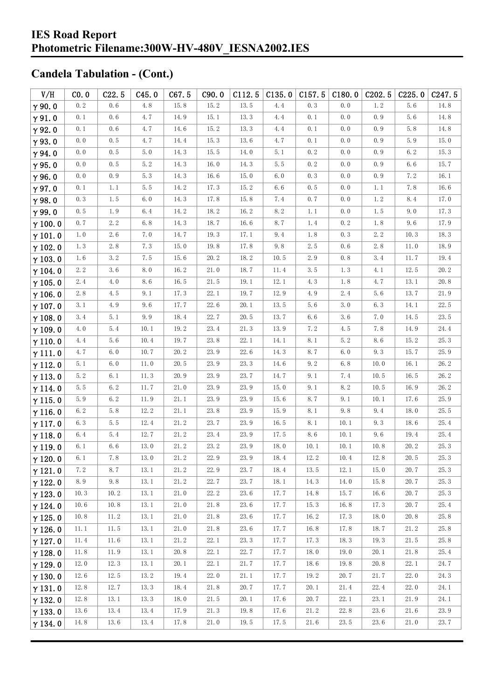| V/H            | CO.0    | C22.5               | C45.0    | C67.5    | C90.0 | C112.5   | C135.0   | C157.5   | C180.0  | C <sub>202.5</sub> | C225.0   | C <sub>247.5</sub> |
|----------------|---------|---------------------|----------|----------|-------|----------|----------|----------|---------|--------------------|----------|--------------------|
| $\gamma$ 90.0  | 0.2     | 0.6                 | 4.8      | 15.8     | 15.2  | 13.5     | 4.4      | 0.3      | 0.0     | $1.\,2$            | 5.6      | 14.8               |
| $\gamma$ 91.0  | 0.1     | 0.6                 | 4.7      | 14.9     | 15.1  | 13.3     | 4.4      | 0.1      | 0.0     | 0.9                | 5.6      | 14.8               |
| $\gamma$ 92.0  | 0.1     | 0.6                 | 4.7      | 14.6     | 15.2  | 13.3     | 4.4      | 0.1      | 0.0     | 0.9                | $5.8\,$  | 14.8               |
| $\gamma$ 93.0  | 0.0     | $0.\,5$             | 4.7      | 14.4     | 15.3  | 13.6     | 4.7      | 0.1      | $0.0$   | 0.9                | $5.9$    | 15.0               |
| $\gamma$ 94.0  | 0.0     | 0.5                 | 5.0      | 14.3     | 15.5  | 14.0     | 5.1      | 0.2      | 0.0     | 0.9                | 6.2      | 15.3               |
| $\gamma$ 95.0  | 0.0     | 0.5                 | 5.2      | 14.3     | 16.0  | 14.3     | $5.5\,$  | 0.2      | $0.0$   | 0.9                | 6.6      | 15.7               |
| $\gamma$ 96.0  | 0.0     | 0.9                 | 5.3      | 14.3     | 16.6  | 15.0     | 6.0      | 0.3      | 0.0     | 0.9                | 7.2      | 16.1               |
| $\gamma$ 97.0  | 0.1     | 1.1                 | 5.5      | 14.2     | 17.3  | 15.2     | 6.6      | 0.5      | 0.0     | 1.1                | 7.8      | 16.6               |
| $\gamma$ 98.0  | 0.3     | 1.5                 | 6.0      | 14.3     | 17.8  | 15.8     | 7.4      | 0.7      | $0.0$   | $1.\,2$            | 8.4      | 17.0               |
| $\gamma$ 99.0  | 0.5     | 1.9                 | $6.4\,$  | 14.2     | 18.2  | 16.2     | 8.2      | 1.1      | 0.0     | 1.5                | 9.0      | 17.3               |
| $\gamma$ 100.0 | 0.7     | $2.\,2$             | 6.8      | 14.3     | 18.7  | 16.6     | 8.7      | 1.4      | 0.2     | 1.8                | 9.6      | 17.9               |
| $\gamma$ 101.0 | 1.0     | 2.6                 | 7.0      | 14.7     | 19.3  | 17.1     | 9.4      | 1.8      | 0.3     | $2.\,2$            | 10.3     | 18.3               |
| $\gamma$ 102.0 | 1.3     | $2.\,8$             | 7.3      | 15.0     | 19.8  | 17.8     | 9.8      | 2.5      | 0.6     | 2.8                | 11.0     | 18.9               |
| $\gamma$ 103.0 | 1.6     | 3.2                 | 7.5      | 15.6     | 20.2  | 18.2     | 10.5     | $2.\,9$  | 0.8     | 3.4                | 11.7     | 19.4               |
| $\gamma$ 104.0 | 2.2     | 3.6                 | 8.0      | 16.2     | 21.0  | 18.7     | 11.4     | 3.5      | 1.3     | 4.1                | 12.5     | 20.2               |
| $\gamma$ 105.0 | 2.4     | 4.0                 | 8.6      | 16.5     | 21.5  | 19.1     | 12.1     | 4.3      | 1.8     | 4.7                | 13.1     | 20.8               |
| $\gamma$ 106.0 | $2.\,8$ | 4.5                 | 9.1      | 17.3     | 22.1  | 19.7     | 12.9     | 4.9      | 2.4     | 5.6                | 13.7     | 21.9               |
| $\gamma$ 107.0 | 3.1     | 4.9                 | 9.6      | 17.7     | 22.6  | 20.1     | 13.5     | 5.6      | 3.0     | 6.3                | 14.1     | 22.5               |
| $\gamma$ 108.0 | 3.4     | 5.1                 | 9.9      | 18.4     | 22.7  | 20.5     | 13.7     | 6.6      | 3.6     | 7.0                | 14.5     | 23.5               |
| $\gamma$ 109.0 | 4.0     | 5.4                 | 10.1     | 19.2     | 23.4  | 21.3     | 13.9     | 7.2      | 4.5     | 7.8                | 14.9     | 24.4               |
| $\gamma$ 110.0 | 4.4     | 5.6                 | 10.4     | 19.7     | 23.8  | 22.1     | 14.1     | 8.1      | 5.2     | 8.6                | 15.2     | 25.3               |
| $\gamma$ 111.0 | 4.7     | 6.0                 | 10.7     | 20.2     | 23.9  | 22.6     | 14.3     | 8.7      | 6.0     | 9.3                | 15.7     | 25.9               |
| $\gamma$ 112.0 | 5.1     | $6.0$               | $11.0$   | 20.5     | 23.9  | 23.3     | 14.6     | 9.2      | $6.8\,$ | 10.0               | 16.1     | 26.2               |
| $\gamma$ 113.0 | 5.2     | 6.1                 | 11.3     | 20.9     | 23.9  | 23.7     | 14.7     | 9.1      | 7.4     | 10.5               | 16.5     | 26.2               |
| $\gamma$ 114.0 | 5.5     | 6.2                 | 11.7     | 21.0     | 23.9  | 23.9     | 15.0     | 9.1      | 8.2     | 10.5               | 16.9     | 26.2               |
| $\gamma$ 115.0 | 5.9     | $6.\,2$             | $11.9\,$ | $21.\,1$ | 23.9  | 23.9     | 15.6     | 8.7      | 9.1     | 10.1               | 17.6     | 25.9               |
| $\gamma$ 116.0 | $6.2\,$ | 5.8                 | 12.2     | 21.1     | 23.8  | 23.9     | 15.9     | 8.1      | 9.8     | 9.4                | 18.0     | 25.5               |
| $\gamma$ 117.0 | 6.3     | 5.5                 | 12.4     | 21.2     | 23.7  | 23.9     | 16.5     | 8.1      | 10.1    | 9.3                | 18.6     | 25.4               |
| $\gamma$ 118.0 | 6.4     | 5.4                 | 12.7     | 21.2     | 23.4  | 23.9     | 17.5     | 8.6      | 10.1    | 9.6                | 19.4     | 25.4               |
| $\gamma$ 119.0 | 6.1     | 6.6                 | 13.0     | $21.\,2$ | 23.2  | 23.9     | 18.0     | 10.1     | 10.1    | 10.8               | 20.2     | 25.3               |
| $\gamma$ 120.0 | $6.1\,$ | $7.\,\allowbreak 8$ | $13.0\,$ | $21.\,2$ | 22.9  | $23.\,9$ | $18.\,4$ | $12.\,2$ | $10.4$  | $12.\,8$           | $20.\,5$ | $25.\,3$           |
| $\gamma$ 121.0 | 7.2     | 8.7                 | 13.1     | 21.2     | 22.9  | 23.7     | 18.4     | 13.5     | 12.1    | 15.0               | 20.7     | 25.3               |
| $\gamma$ 122.0 | 8.9     | 9.8                 | 13.1     | 21.2     | 22.7  | 23.7     | 18.1     | 14.3     | 14.0    | 15.8               | 20.7     | 25.3               |
| $\gamma$ 123.0 | 10.3    | 10.2                | 13.1     | 21.0     | 22.2  | 23.6     | 17.7     | 14.8     | 15.7    | 16.6               | 20.7     | 25.3               |
| $\gamma$ 124.0 | 10.6    | 10.8                | 13.1     | 21.0     | 21.8  | 23.6     | 17.7     | 15.3     | 16.8    | 17.3               | 20.7     | 25.4               |
| $\gamma$ 125.0 | 10.8    | 11.2                | 13.1     | 21.0     | 21.8  | 23.6     | 17.7     | 16.2     | 17.3    | 18.0               | 20.8     | 25.8               |
| $\gamma$ 126.0 | 11.1    | 11.5                | 13.1     | 21.0     | 21.8  | 23.6     | 17.7     | 16.8     | 17.8    | 18.7               | 21.2     | 25.8               |
| $\gamma$ 127.0 | 11.4    | 11.6                | 13.1     | 21.2     | 22.1  | 23.3     | 17.7     | 17.3     | 18.3    | 19.3               | 21.5     | 25.8               |
| $\gamma$ 128.0 | 11.8    | 11.9                | 13.1     | 20.8     | 22.1  | 22.7     | 17.7     | 18.0     | 19.0    | 20.1               | 21.8     | 25.4               |
| $\gamma$ 129.0 | 12.0    | 12.3                | 13.1     | 20.1     | 22.1  | 21.7     | 17.7     | 18.6     | 19.8    | 20.8               | 22.1     | 24.7               |
| $\gamma$ 130.0 | 12.6    | 12.5                | 13.2     | 19.4     | 22.0  | 21.1     | 17.7     | 19.2     | 20.7    | 21.7               | 22.0     | 24.3               |
| $\gamma$ 131.0 | 12.8    | 12.7                | 13.3     | 18.4     | 21.8  | 20.7     | 17.7     | 20.1     | 21.4    | 22.4               | 22.0     | 24.1               |
| $\gamma$ 132.0 | 12.8    | 13.1                | 13.3     | 18.0     | 21.5  | 20.1     | 17.6     | 20.7     | 22.1    | 23.1               | 21.9     | 24.1               |
| $\gamma$ 133.0 | 13.6    | 13.4                | 13.4     | 17.9     | 21.3  | 19.8     | 17.6     | 21.2     | 22.8    | 23.6               | 21.6     | 23.9               |
| $\gamma$ 134.0 | 14.8    | 13.6                | 13.4     | 17.8     | 21.0  | 19.5     | 17.5     | 21.6     | 23.5    | 23.6               | 21.0     | 23.7               |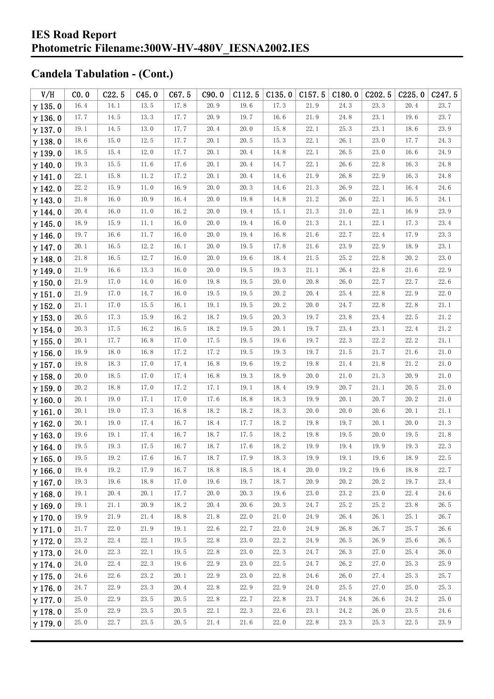| V/H            | CO.0 | C22.5 | C45.0    | C67.5 | C90.0 | C112.5 | C135.0 | C157.5   | C180.0 | C202.5     | C225.0 | C <sub>247.5</sub> |
|----------------|------|-------|----------|-------|-------|--------|--------|----------|--------|------------|--------|--------------------|
| $\gamma$ 135.0 | 16.4 | 14.1  | 13.5     | 17.8  | 20.9  | 19.6   | 17.3   | 21.9     | 24.3   | 23.3       | 20.4   | 23.7               |
| $\gamma$ 136.0 | 17.7 | 14.5  | 13.3     | 17.7  | 20.9  | 19.7   | 16.6   | 21.9     | 24.8   | 23.1       | 19.6   | 23.7               |
| $\gamma$ 137.0 | 19.1 | 14.5  | $13.0\,$ | 17.7  | 20.4  | 20.0   | 15.8   | 22.1     | 25.3   | 23.1       | 18.6   | 23.9               |
| $\gamma$ 138.0 | 18.6 | 15.0  | 12.5     | 17.7  | 20.1  | 20.5   | 15.3   | 22.1     | 26.1   | 23.0       | 17.7   | 24.3               |
| $\gamma$ 139.0 | 18.5 | 15.4  | 12.0     | 17.7  | 20.1  | 20.4   | 14.8   | 22.1     | 26.5   | 23.0       | 16.6   | 24.9               |
| $\gamma$ 140.0 | 19.3 | 15.5  | 11.6     | 17.6  | 20.1  | 20.4   | 14.7   | 22.1     | 26.6   | 22.8       | 16.3   | 24.8               |
| $\gamma$ 141.0 | 22.1 | 15.8  | 11.2     | 17.2  | 20.1  | 20.4   | 14.6   | 21.9     | 26.8   | 22.9       | 16.3   | 24.8               |
| $\gamma$ 142.0 | 22.2 | 15.9  | 11.0     | 16.9  | 20.0  | 20.3   | 14.6   | 21.3     | 26.9   | 22.1       | 16.4   | 24.6               |
| $\gamma$ 143.0 | 21.8 | 16.0  | 10.9     | 16.4  | 20.0  | 19.8   | 14.8   | 21.2     | 26.0   | 22.1       | 16.5   | 24.1               |
| $\gamma$ 144.0 | 20.4 | 16.0  | 11.0     | 16.2  | 20.0  | 19.4   | 15.1   | 21.3     | 21.0   | 22.1       | 16.9   | 23.9               |
| $\gamma$ 145.0 | 18.9 | 15.9  | 11.1     | 16.0  | 20.0  | 19.4   | 16.0   | 21.3     | 21.1   | 22.1       | 17.3   | 23.4               |
| $\gamma$ 146.0 | 19.7 | 16.6  | 11.7     | 16.0  | 20.0  | 19.4   | 16.8   | 21.6     | 22.7   | 22.4       | 17.9   | 23.3               |
| $\gamma$ 147.0 | 20.1 | 16.5  | 12.2     | 16.1  | 20.0  | 19.5   | 17.8   | 21.6     | 23.9   | 22.9       | 18.9   | 23.1               |
| $\gamma$ 148.0 | 21.8 | 16.5  | 12.7     | 16.0  | 20.0  | 19.6   | 18.4   | 21.5     | 25.2   | 22.8       | 20.2   | 23.0               |
| $\gamma$ 149.0 | 21.9 | 16.6  | 13.3     | 16.0  | 20.0  | 19.5   | 19.3   | 21.1     | 26.4   | 22.8       | 21.6   | 22.9               |
| $\gamma$ 150.0 | 21.9 | 17.0  | 14.0     | 16.0  | 19.8  | 19.5   | 20.0   | 20.8     | 26.0   | 22.7       | 22.7   | 22.6               |
| $\gamma$ 151.0 | 21.9 | 17.0  | 14.7     | 16.0  | 19.5  | 19.5   | 20.2   | 20.4     | 25.4   | 22.8       | 22.9   | 22.0               |
| $\gamma$ 152.0 | 21.1 | 17.0  | 15.5     | 16.1  | 19.1  | 19.5   | 20.2   | 20.0     | 24.7   | 22.8       | 22.8   | 21.1               |
| $\gamma$ 153.0 | 20.5 | 17.3  | 15.9     | 16.2  | 18.7  | 19.5   | 20.3   | 19.7     | 23.8   | 23.4       | 22.5   | 21.2               |
| $\gamma$ 154.0 | 20.3 | 17.5  | 16.2     | 16.5  | 18.2  | 19.5   | 20.1   | 19.7     | 23.4   | 23.1       | 22.4   | 21.2               |
| $\gamma$ 155.0 | 20.1 | 17.7  | 16.8     | 17.0  | 17.5  | 19.5   | 19.6   | 19.7     | 22.3   | 22.2       | 22.2   | 21.1               |
| $\gamma$ 156.0 | 19.9 | 18.0  | 16.8     | 17.2  | 17.2  | 19.5   | 19.3   | 19.7     | 21.5   | 21.7       | 21.6   | 21.0               |
| $\gamma$ 157.0 | 19.8 | 18.3  | 17.0     | 17.4  | 16.8  | 19.6   | 19.2   | 19.8     | 21.4   | 21.8       | 21.2   | 21.0               |
| $\gamma$ 158.0 | 20.0 | 18.5  | 17.0     | 17.4  | 16.8  | 19.3   | 18.9   | 20.0     | 21.0   | 21.3       | 20.9   | 21.0               |
| $\gamma$ 159.0 | 20.2 | 18.8  | 17.0     | 17.2  | 17.1  | 19.1   | 18.4   | 19.9     | 20.7   | 21.1       | 20.5   | 21.0               |
| $\gamma$ 160.0 | 20.1 | 19.0  | 17.1     | 17.0  | 17.6  | 18.8   | 18.3   | 19.9     | 20.1   | 20.7       | 20.2   | 21.0               |
| $\gamma$ 161.0 | 20.1 | 19.0  | 17.3     | 16.8  | 18.2  | 18.2   | 18.3   | 20.0     | 20.0   | 20.6       | 20.1   | 21.1               |
| $\gamma$ 162.0 | 20.1 | 19.0  | 17.4     | 16.7  | 18.4  | 17.7   | 18.2   | 19.8     | 19.7   | 20.1       | 20.0   | 21.3               |
| $\gamma$ 163.0 | 19.6 | 19.1  | 17.4     | 16.7  | 18.7  | 17.5   | 18.2   | 19.8     | 19.5   | 20.0       | 19.5   | 21.8               |
| $\gamma$ 164.0 | 19.5 | 19.3  | 17.5     | 16.7  | 18.7  | 17.6   | 18.2   | 19.9     | 19.4   | 19.9       | 19.3   | 22.3               |
| $\gamma$ 165.0 | 19.5 | 19.2  | 17.6     | 16.7  | 18.7  | 17.9   | 18.3   | $19.9\,$ | 19.1   | $19. \, 6$ | 18.9   | $22.\,5$           |
| $\gamma$ 166.0 | 19.4 | 19.2  | 17.9     | 16.7  | 18.8  | 18.5   | 18.4   | 20.0     | 19.2   | 19.6       | 18.8   | 22.7               |
| $\gamma$ 167.0 | 19.3 | 19.6  | 18.8     | 17.0  | 19.6  | 19.7   | 18.7   | 20.9     | 20.2   | 20.2       | 19.7   | 23.4               |
| $\gamma$ 168.0 | 19.1 | 20.4  | 20.1     | 17.7  | 20.0  | 20.3   | 19.6   | 23.0     | 23.2   | 23.0       | 22.4   | 24.6               |
| $\gamma$ 169.0 | 19.1 | 21.1  | 20.9     | 18.2  | 20.4  | 20.6   | 20.3   | 24.7     | 25.2   | 25.2       | 23.8   | 26.5               |
| $\gamma$ 170.0 | 19.9 | 21.9  | 21.4     | 18.8  | 21.8  | 22.0   | 21.0   | 24.9     | 26.4   | 26.1       | 25.1   | 26.7               |
| $\gamma$ 171.0 | 21.7 | 22.0  | 21.9     | 19.1  | 22.6  | 22.7   | 22.0   | 24.9     | 26.8   | 26.7       | 25.7   | 26.6               |
| $\gamma$ 172.0 | 23.2 | 22.4  | 22.1     | 19.5  | 22.8  | 23.0   | 22.2   | 24.9     | 26.5   | 26.9       | 25.6   | 26.5               |
| $\gamma$ 173.0 | 24.0 | 22.3  | 22.1     | 19.5  | 22.8  | 23.0   | 22.3   | 24.7     | 26.3   | 27.0       | 25.4   | 26.0               |
| $\gamma$ 174.0 | 24.0 | 22.4  | 22.3     | 19.6  | 22.9  | 23.0   | 22.5   | 24.7     | 26.2   | 27.0       | 25.3   | 25.9               |
| $\gamma$ 175.0 | 24.6 | 22.6  | 23.2     | 20.1  | 22.9  | 23.0   | 22.8   | 24.6     | 26.0   | 27.4       | 25.3   | 25.7               |
| $\gamma$ 176.0 | 24.7 | 22.9  | 23.3     | 20.4  | 22.8  | 22.9   | 22.9   | 24.0     | 25.5   | 27.0       | 25.0   | 25.3               |
| $\gamma$ 177.0 | 25.0 | 22.9  | 23.5     | 20.5  | 22.8  | 22.7   | 22.8   | 23.7     | 24.8   | 26.6       | 24.2   | 25.0               |
| $\gamma$ 178.0 | 25.0 | 22.9  | 23.5     | 20.5  | 22.1  | 22.3   | 22.6   | 23.1     | 24. 2  | 26.0       | 23.5   | 24.6               |
| $\gamma$ 179.0 | 25.0 | 22.7  | 23.5     | 20.5  | 21.4  | 21.6   | 22.0   | 22.8     | 23.3   | 25.3       | 22.5   | 23.9               |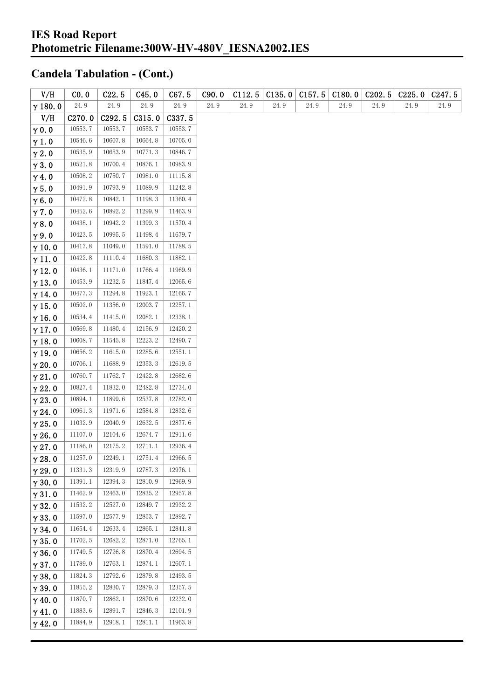| V/H            | CO. 0              | C22.5   | C45.0   | C67.5   | C90.0 | C112.5 | C135.0 | C157.5 | C180.0 | C <sub>2</sub> 02.5 | C225.0 | C <sub>247.5</sub> |
|----------------|--------------------|---------|---------|---------|-------|--------|--------|--------|--------|---------------------|--------|--------------------|
| $\gamma$ 180.0 | 24.9               | 24.9    | 24.9    | 24.9    | 24.9  | 24.9   | 24.9   | 24.9   | 24.9   | 24.9                | 24.9   | 24.9               |
| V/H            | C <sub>270.0</sub> | C292.5  | C315.0  | C337.5  |       |        |        |        |        |                     |        |                    |
| $\gamma$ 0.0   | 10553.7            | 10553.7 | 10553.7 | 10553.7 |       |        |        |        |        |                     |        |                    |
| $\gamma$ 1.0   | 10546.6            | 10607.8 | 10664.8 | 10705.0 |       |        |        |        |        |                     |        |                    |
| $\gamma$ 2.0   | 10535.9            | 10653.9 | 10771.3 | 10846.7 |       |        |        |        |        |                     |        |                    |
| $\gamma$ 3.0   | 10521.8            | 10700.4 | 10876.1 | 10983.9 |       |        |        |        |        |                     |        |                    |
| $\gamma$ 4.0   | 10508.2            | 10750.7 | 10981.0 | 11115.8 |       |        |        |        |        |                     |        |                    |
| $\gamma$ 5.0   | 10491.9            | 10793.9 | 11089.9 | 11242.8 |       |        |        |        |        |                     |        |                    |
| $\gamma$ 6.0   | 10472.8            | 10842.1 | 11198.3 | 11360.4 |       |        |        |        |        |                     |        |                    |
| $\gamma$ 7.0   | 10452.6            | 10892.2 | 11299.9 | 11463.9 |       |        |        |        |        |                     |        |                    |
| $\gamma$ 8.0   | 10438.1            | 10942.2 | 11399.3 | 11570.4 |       |        |        |        |        |                     |        |                    |
| $\gamma$ 9.0   | 10423.5            | 10995.5 | 11498.4 | 11679.7 |       |        |        |        |        |                     |        |                    |
| $\gamma$ 10.0  | 10417.8            | 11049.0 | 11591.0 | 11788.5 |       |        |        |        |        |                     |        |                    |
| $\gamma$ 11.0  | 10422.8            | 11110.4 | 11680.3 | 11882.1 |       |        |        |        |        |                     |        |                    |
| $\gamma$ 12.0  | 10436.1            | 11171.0 | 11766.4 | 11969.9 |       |        |        |        |        |                     |        |                    |
| $\gamma$ 13.0  | 10453.9            | 11232.5 | 11847.4 | 12065.6 |       |        |        |        |        |                     |        |                    |
| $\gamma$ 14.0  | 10477.3            | 11294.8 | 11923.1 | 12166.7 |       |        |        |        |        |                     |        |                    |
| $\gamma$ 15.0  | 10502.0            | 11356.0 | 12003.7 | 12257.1 |       |        |        |        |        |                     |        |                    |
| $\gamma$ 16.0  | 10534.4            | 11415.0 | 12082.1 | 12338.1 |       |        |        |        |        |                     |        |                    |
| $\gamma$ 17.0  | 10569.8            | 11480.4 | 12156.9 | 12420.2 |       |        |        |        |        |                     |        |                    |
| $\gamma$ 18.0  | 10608.7            | 11545.8 | 12223.2 | 12490.7 |       |        |        |        |        |                     |        |                    |
| $\gamma$ 19.0  | 10656.2            | 11615.0 | 12285.6 | 12551.1 |       |        |        |        |        |                     |        |                    |
| $\gamma$ 20.0  | 10706.1            | 11688.9 | 12353.3 | 12619.5 |       |        |        |        |        |                     |        |                    |
| $\gamma$ 21.0  | 10760.7            | 11762.7 | 12422.8 | 12682.6 |       |        |        |        |        |                     |        |                    |
| $\gamma$ 22.0  | 10827.4            | 11832.0 | 12482.8 | 12734.0 |       |        |        |        |        |                     |        |                    |
| $\gamma$ 23.0  | 10894.1            | 11899.6 | 12537.8 | 12782.0 |       |        |        |        |        |                     |        |                    |
| $\gamma$ 24.0  | 10961.3            | 11971.6 | 12584.8 | 12832.6 |       |        |        |        |        |                     |        |                    |
| $\gamma$ 25.0  | 11032.9            | 12040.9 | 12632.5 | 12877.6 |       |        |        |        |        |                     |        |                    |
| $\gamma$ 26.0  | 11107.0            | 12104.6 | 12674.7 | 12911.6 |       |        |        |        |        |                     |        |                    |
| $\gamma$ 27.0  | 11186.0            | 12175.2 | 12711.1 | 12936.4 |       |        |        |        |        |                     |        |                    |
| $\gamma$ 28.0  | 11257.0            | 12249.1 | 12751.4 | 12966.5 |       |        |        |        |        |                     |        |                    |
| $\gamma$ 29.0  | 11331.3            | 12319.9 | 12787.3 | 12976.1 |       |        |        |        |        |                     |        |                    |
| $\gamma$ 30.0  | 11391.1            | 12394.3 | 12810.9 | 12969.9 |       |        |        |        |        |                     |        |                    |
| $\gamma$ 31.0  | 11462.9            | 12463.0 | 12835.2 | 12957.8 |       |        |        |        |        |                     |        |                    |
| $\gamma$ 32.0  | 11532.2            | 12527.0 | 12849.7 | 12932.2 |       |        |        |        |        |                     |        |                    |
| $\gamma$ 33.0  | 11597.0            | 12577.9 | 12853.7 | 12892.7 |       |        |        |        |        |                     |        |                    |
| $\gamma$ 34.0  | 11654.4            | 12633.4 | 12865.1 | 12841.8 |       |        |        |        |        |                     |        |                    |
| $\gamma$ 35.0  | 11702.5            | 12682.2 | 12871.0 | 12765.1 |       |        |        |        |        |                     |        |                    |
| $\gamma$ 36.0  | 11749.5            | 12726.8 | 12870.4 | 12694.5 |       |        |        |        |        |                     |        |                    |
| $\gamma$ 37.0  | 11789.0            | 12763.1 | 12874.1 | 12607.1 |       |        |        |        |        |                     |        |                    |
| $\gamma$ 38.0  | 11824.3            | 12792.6 | 12879.8 | 12493.5 |       |        |        |        |        |                     |        |                    |
| $\gamma$ 39.0  | 11855.2            | 12830.7 | 12879.3 | 12357.5 |       |        |        |        |        |                     |        |                    |
| $\gamma$ 40.0  | 11870.7            | 12862.1 | 12870.6 | 12232.0 |       |        |        |        |        |                     |        |                    |
| $\gamma$ 41.0  | 11883.6            | 12891.7 | 12846.3 | 12101.9 |       |        |        |        |        |                     |        |                    |
| $\gamma$ 42.0  | 11884.9            | 12918.1 | 12811.1 | 11963.8 |       |        |        |        |        |                     |        |                    |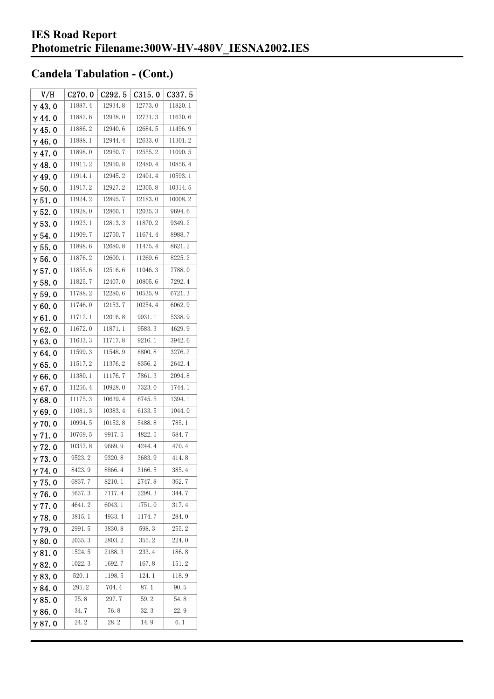| V/H            | C270.0  | C <sub>292.5</sub> | C315.0  | C337.5  |
|----------------|---------|--------------------|---------|---------|
| $\gamma$ 43.0  | 11887.4 | 12934.8            | 12773.0 | 11820.1 |
| $\gamma$ 44. 0 | 11882.6 | 12938.0            | 12731.3 | 11670.6 |
| $\gamma$ 45. 0 | 11886.2 | 12940.6            | 12684.5 | 11496.9 |
| $\gamma$ 46.0  | 11888.1 | 12944.4            | 12633.0 | 11301.2 |
| $\gamma$ 47.0  | 11898.0 | 12950.7            | 12555.2 | 11090.5 |
| $\gamma$ 48.0  | 11911.2 | 12950.8            | 12480.4 | 10856.4 |
| $\gamma$ 49.0  | 11914.1 | 12945.2            | 12401.4 | 10593.1 |
| $\gamma$ 50.0  | 11917.2 | 12927.2            | 12305.8 | 10314.5 |
| $\gamma$ 51.0  | 11924.2 | 12895.7            | 12183.0 | 10008.2 |
| $\gamma$ 52.0  | 11928.0 | 12860.1            | 12035.3 | 9694.6  |
| $\gamma$ 53.0  | 11923.1 | 12813.3            | 11870.2 | 9349.2  |
| $\gamma$ 54. 0 | 11909.7 | 12750.7            | 11674.4 | 8988.7  |
| $\gamma$ 55.0  | 11898.6 | 12680.8            | 11475.4 | 8621.2  |
| γ56.0          | 11876.2 | 12600.1            | 11269.6 | 8225.2  |
| $\gamma$ 57.0  | 11855.6 | 12516.6            | 11046.3 | 7788.0  |
| $\gamma$ 58.0  | 11825.7 | 12407.0            | 10805.6 | 7292.4  |
| $\gamma$ 59.0  | 11788.2 | 12280.6            | 10535.9 | 6721.3  |
| $\gamma$ 60.0  | 11746.0 | 12153.7            | 10254.4 | 6062.9  |
| $\gamma$ 61.0  | 11712.1 | 12016.8            | 9931.1  | 5338.9  |
| $\gamma$ 62.0  | 11672.0 | 11871.1            | 9583.3  | 4629.9  |
| $\gamma$ 63.0  | 11633.3 | 11717.8            | 9216.1  | 3942.6  |
| $\gamma$ 64.0  | 11599.3 | 11548.9            | 8800.8  | 3276.2  |
| $\gamma$ 65.0  | 11517.2 | 11376.2            | 8356.2  | 2642.4  |
| γ66.0          | 11380.1 | 11176.7            | 7861.3  | 2094.8  |
| $\gamma$ 67.0  | 11256.4 | 10928.0            | 7323.0  | 1744. 1 |
| $\gamma$ 68.0  | 11175.3 | 10639.4            | 6745.5  | 1394.1  |
| $\gamma$ 69.0  | 11081.3 | 10383.4            | 6133.5  | 1044.0  |
| $\gamma$ 70.0  | 10994.5 | 10152.8            | 5488.8  | 785.1   |
| $\gamma$ 71.0  | 10769.5 | 9917.5             | 4822.5  | 584.7   |
| $\gamma$ 72.0  | 10357.8 | 9669.9             | 4244.4  | 470.4   |
| $\gamma$ 73.0  | 9523.2  | 9320.8             | 3683.9  | 414.8   |
| $\gamma$ 74.0  | 8423.9  | 8866.4             | 3166.5  | 385.4   |
| $\gamma$ 75.0  | 6837.7  | 8210.1             | 2747.8  | 362.7   |
| $\gamma$ 76.0  | 5637.3  | 7117.4             | 2299.3  | 344.7   |
| $\gamma$ 77.0  | 4641.2  | 6043.1             | 1751.0  | 317.4   |
| $\gamma$ 78.0  | 3815.1  | 4933.4             | 1174.7  | 284.0   |
| $\gamma$ 79.0  | 2991.5  | 3830.8             | 598.3   | 255.2   |
| $\gamma$ 80.0  | 2035.3  | 2803.2             | 355.2   | 224.0   |
| $\gamma$ 81.0  | 1524.5  | 2188.3             | 233.4   | 186.8   |
| $\gamma$ 82.0  | 1022.3  | 1692.7             | 167.8   | 151.2   |
| $\gamma$ 83.0  | 520.1   | 1198.5             | 124. 1  | 118.9   |
| $\gamma$ 84.0  | 295.2   | 704.4              | 87.1    | 90. 5   |
| $\gamma$ 85.0  | 75.8    | 297.7              | 59.2    | 54.8    |
| $\gamma$ 86.0  | 34.7    | 76.8               | 32.3    | 22.9    |
| $\gamma$ 87.0  | 24.2    | 28.2               | 14.9    | 6.1     |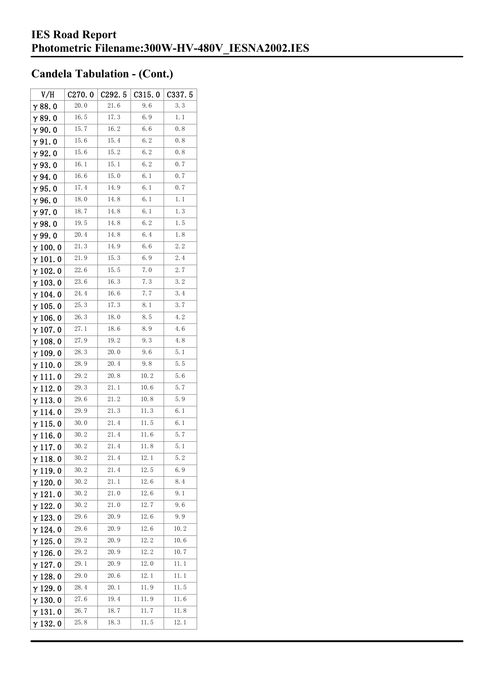| V/H             | C270.0 | C292.5 | C315.0 | C337.5 |
|-----------------|--------|--------|--------|--------|
| $\gamma$ 88.0   | 20.0   | 21.6   | 9.6    | 3.3    |
| $\gamma$ 89.0   | 16.5   | 17.3   | 6.9    | 1.1    |
| $\gamma$ 90.0   | 15.7   | 16.2   | 6. 6   | 0.8    |
| $\gamma$ 91.0   | 15.6   | 15.4   | 6.2    | 0.8    |
| γ92.0           | 15.6   | 15.2   | 6.2    | 0.8    |
| $\gamma$ 93. O  | 16. 1  | 15. 1  | 6.2    | 0.7    |
| γ94.0           | 16.6   | 15.0   | 6.1    | 0.7    |
| $\gamma$ 95.0   | 17.4   | 14. 9  | 6.1    | 0.7    |
| γ96.0           | 18.0   | 14.8   | 6.1    | 1.1    |
| $\gamma$ 97. 0  | 18.7   | 14.8   | 6.1    | 1.3    |
| $\gamma$ 98.0   | 19.5   | 14.8   | 6. 2   | 1.5    |
| $\gamma$ 99.0   | 20.4   | 14.8   | 6.4    | 1.8    |
| $\gamma$ 100. 0 | 21.3   | 14. 9  | 6. 6   | 2.2    |
| $\gamma$ 101. 0 | 21.9   | 15.3   | 6.9    | 2.4    |
| $\gamma$ 102. 0 | 22.6   | 15.5   | 7.0    | 2.7    |
| $\gamma$ 103. 0 | 23.6   | 16.3   | 7.3    | 3.2    |
| γ 104. 0        | 24.4   | 16.6   | 7.7    | 3.4    |
| $\gamma$ 105.0  | 25.3   | 17.3   | 8.1    | 3.7    |
| $\gamma$ 106.0  | 26. 3  | 18.0   | 8.5    | 4.2    |
| γ107.0          | 27.1   | 18.6   | 8. 9   | 4.6    |
| $\gamma$ 108.0  | 27.9   | 19.2   | 9.3    | 4.8    |
| $\gamma$ 109.0  | 28.3   | 20.0   | 9. 6   | 5.1    |
| $\gamma$ 110. 0 | 28.9   | 20.4   | 9.8    | 5.5    |
| γ111.0          | 29. 2  | 20.8   | 10.2   | 5.6    |
| $\gamma$ 112. 0 | 29.3   | 21.1   | 10.6   | 5.7    |
| $\gamma$ 113. 0 | 29.6   | 21.2   | 10.8   | 5.9    |
| γ 114. 0        | 29.9   | 21.3   | 11.3   | 6.1    |
| $\gamma$ 115.0  | 30.0   | 21.4   | 11.5   | 6.1    |
| γ116.0          | 30.2   | 21.4   | 11.6   | 5.7    |
| $\gamma$ 117.0  | 30.2   | 21.4   | 11.8   | 5. 1   |
| $\gamma$ 118. 0 | 30.2   | 21.4   | 12. 1  | 5.2    |
| γ119.0          | 30.2   | 21.4   | 12.5   | 6.9    |
| $\gamma$ 120.0  | 30.2   | 21.1   | 12.6   | 8.4    |
| $\gamma$ 121.0  | 30.2   | 21.0   | 12.6   | 9.1    |
| $\gamma$ 122.0  | 30.2   | 21.0   | 12.7   | 9.6    |
| $\gamma$ 123.0  | 29.6   | 20.9   | 12.6   | 9.9    |
| $\gamma$ 124.0  | 29.6   | 20.9   | 12.6   | 10.2   |
| $\gamma$ 125.0  | 29.2   | 20.9   | 12.2   | 10.6   |
| $\gamma$ 126.0  | 29. 2  | 20.9   | 12.2   | 10.7   |
| $\gamma$ 127. 0 | 29. 1  | 20.9   | 12.0   | 11.1   |
| $\gamma$ 128.0  | 29.0   | 20.6   | 12.1   | 11. 1  |
| $\gamma$ 129. 0 | 28.4   | 20. 1  | 11.9   | 11.5   |
| $\gamma$ 130. 0 | 27.6   | 19.4   | 11.9   | 11.6   |
| $\gamma$ 131.0  | 26. 7  | 18.7   | 11.7   | 11.8   |
| $\gamma$ 132. 0 | 25.8   | 18.3   | 11.5   | 12.1   |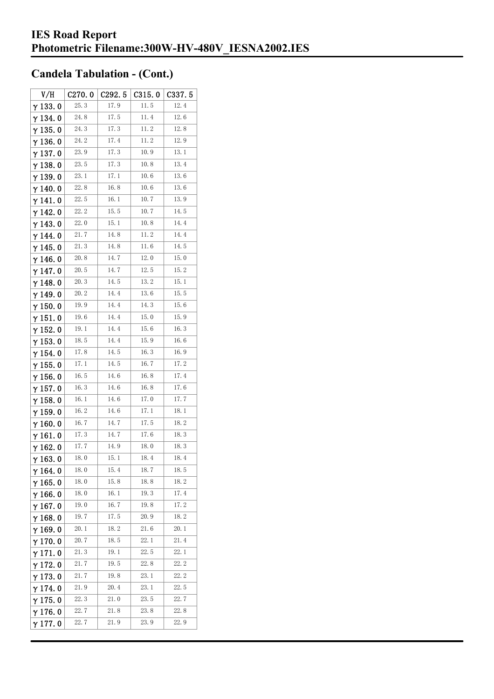| V/H             | C270.0 | C292.5 | C315.0 | C337.5 |
|-----------------|--------|--------|--------|--------|
| $\gamma$ 133.0  | 25.3   | 17.9   | 11.5   | 12.4   |
| $\gamma$ 134. 0 | 24.8   | 17.5   | 11.4   | 12.6   |
| $\gamma$ 135. 0 | 24.3   | 17.3   | 11.2   | 12.8   |
| $\gamma$ 136.0  | 24.2   | 17.4   | 11.2   | 12.9   |
| $\gamma$ 137. 0 | 23.9   | 17.3   | 10.9   | 13.1   |
| $\gamma$ 138. 0 | 23.5   | 17.3   | 10.8   | 13.4   |
| γ139.0          | 23.1   | 17.1   | 10.6   | 13.6   |
| $\gamma$ 140. 0 | 22.8   | 16.8   | 10.6   | 13.6   |
| $\gamma$ 141. 0 | 22.5   | 16.1   | 10.7   | 13.9   |
| $\gamma$ 142. 0 | 22.2   | 15.5   | 10.7   | 14.5   |
| $\gamma$ 143.0  | 22.0   | 15.1   | 10.8   | 14.4   |
| $\gamma$ 144. 0 | 21.7   | 14.8   | 11.2   | 14.4   |
| $\gamma$ 145. 0 | 21.3   | 14.8   | 11.6   | 14.5   |
| $\gamma$ 146. 0 | 20.8   | 14.7   | 12.0   | 15.0   |
| $\gamma$ 147.0  | 20.5   | 14.7   | 12.5   | 15.2   |
| γ148.0          | 20.3   | 14.5   | 13.2   | 15.1   |
| $\gamma$ 149. 0 | 20.2   | 14.4   | 13.6   | 15.5   |
| $\gamma$ 150.0  | 19.9   | 14.4   | 14.3   | 15.6   |
| $\gamma$ 151.0  | 19.6   | 14.4   | 15.0   | 15.9   |
| $\gamma$ 152. 0 | 19.1   | 14.4   | 15.6   | 16.3   |
| $\gamma$ 153.0  | 18.5   | 14.4   | 15.9   | 16.6   |
| $\gamma$ 154.0  | 17.8   | 14.5   | 16.3   | 16.9   |
| $\gamma$ 155. 0 | 17.1   | 14.5   | 16.7   | 17.2   |
| $\gamma$ 156. 0 | 16.5   | 14.6   | 16.8   | 17.4   |
| $\gamma$ 157. 0 | 16.3   | 14. 6  | 16.8   | 17.6   |
| $\gamma$ 158.0  | 16.1   | 14.6   | 17.0   | 17.7   |
| $\gamma$ 159. 0 | 16.2   | 14.6   | 17.1   | 18.1   |
| $\gamma$ 160.0  | 16.7   | 14.7   | 17.5   | 18.2   |
| $\gamma$ 161. 0 | 17.3   | 14.7   | 17.6   | 18.3   |
| γ 162. 0        | 17.7   | 14.9   | 18.0   | 18.3   |
| $\gamma$ 163.0  | 18.0   | 15. 1  | 18.4   | 18.4   |
| $\gamma$ 164. 0 | 18.0   | 15.4   | 18.7   | 18.5   |
| $\gamma$ 165.0  | 18.0   | 15.8   | 18.8   | 18.2   |
| $\gamma$ 166.0  | 18.0   | 16.1   | 19.3   | 17.4   |
| $\gamma$ 167.0  | 19.0   | 16.7   | 19.8   | 17.2   |
| $\gamma$ 168.0  | 19.7   | 17.5   | 20.9   | 18.2   |
| $\gamma$ 169.0  | 20.1   | 18.2   | 21.6   | 20.1   |
| $\gamma$ 170.0  | 20.7   | 18.5   | 22.1   | 21.4   |
| $\gamma$ 171.0  | 21.3   | 19.1   | 22.5   | 22.1   |
| $\gamma$ 172.0  | 21.7   | 19.5   | 22.8   | 22.2   |
| $\gamma$ 173.0  | 21.7   | 19.8   | 23.1   | 22.2   |
| $\gamma$ 174.0  | 21.9   | 20.4   | 23.1   | 22.5   |
| $\gamma$ 175. 0 | 22.3   | 21.0   | 23.5   | 22.7   |
| $\gamma$ 176.0  | 22.7   | 21.8   | 23.8   | 22.8   |
| γ177.0          | 22.7   | 21.9   | 23.9   | 22.9   |